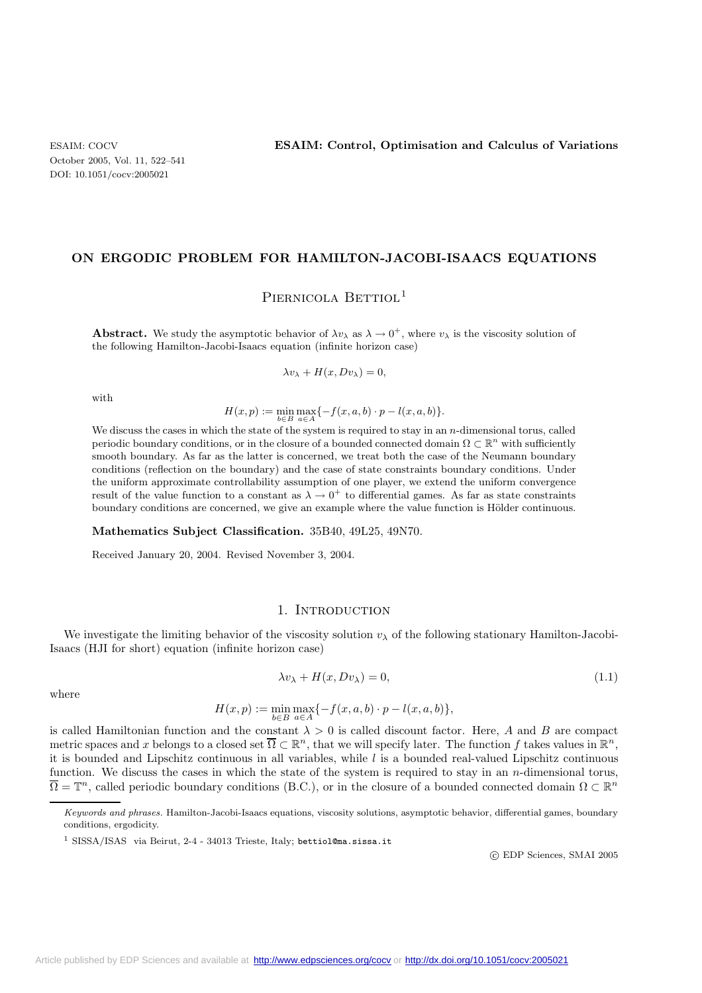### **ON ERGODIC PROBLEM FOR HAMILTON-JACOBI-ISAACS EQUATIONS**

PIERNICOLA BETTIOL<sup>1</sup>

**Abstract.** We study the asymptotic behavior of  $\lambda v_\lambda$  as  $\lambda \to 0^+$ , where  $v_\lambda$  is the viscosity solution of the following Hamilton-Jacobi-Isaacs equation (infinite horizon case)

$$
\lambda v_{\lambda} + H(x, D v_{\lambda}) = 0,
$$

with

 $H(x,p) := \min_{b \in B} \max_{a \in A} \{-f(x,a,b) \cdot p - l(x,a,b)\}.$ 

We discuss the cases in which the state of the system is required to stay in an n-dimensional torus, called periodic boundary conditions, or in the closure of a bounded connected domain  $\Omega \subset \mathbb{R}^n$  with sufficiently smooth boundary. As far as the latter is concerned, we treat both the case of the Neumann boundary conditions (reflection on the boundary) and the case of state constraints boundary conditions. Under the uniform approximate controllability assumption of one player, we extend the uniform convergence result of the value function to a constant as  $\lambda \to 0^+$  to differential games. As far as state constraints boundary conditions are concerned, we give an example where the value function is Hölder continuous.

#### **Mathematics Subject Classification.** 35B40, 49L25, 49N70.

Received January 20, 2004. Revised November 3, 2004.

#### 1. INTRODUCTION

We investigate the limiting behavior of the viscosity solution  $v_\lambda$  of the following stationary Hamilton-Jacobi-Isaacs (HJI for short) equation (infinite horizon case)

$$
\lambda v_{\lambda} + H(x, D v_{\lambda}) = 0, \qquad (1.1)
$$

$$
H(x,p) := \min_{b \in B} \max_{a \in A} \{-f(x,a,b) \cdot p - l(x,a,b)\},\
$$

is called Hamiltonian function and the constant  $\lambda > 0$  is called discount factor. Here, A and B are compact metric spaces and x belongs to a closed set  $\overline{\Omega} \subset \mathbb{R}^n$ , that we will specify later. The function f takes values in  $\mathbb{R}^n$ . it is bounded and Lipschitz continuous in all variables, while  $l$  is a bounded real-valued Lipschitz continuous function. We discuss the cases in which the state of the system is required to stay in an  $n$ -dimensional torus,  $\overline{\Omega} = \mathbb{T}^n$ , called periodic boundary conditions (B.C.), or in the closure of a bounded connected domain  $\Omega \subset \mathbb{R}^n$ 

c EDP Sciences, SMAI 2005

where

Keywords and phrases. Hamilton-Jacobi-Isaacs equations, viscosity solutions, asymptotic behavior, differential games, boundary conditions, ergodicity.

<sup>&</sup>lt;sup>1</sup> SISSA/ISAS via Beirut, 2-4 - 34013 Trieste, Italy; bettiol@ma.sissa.it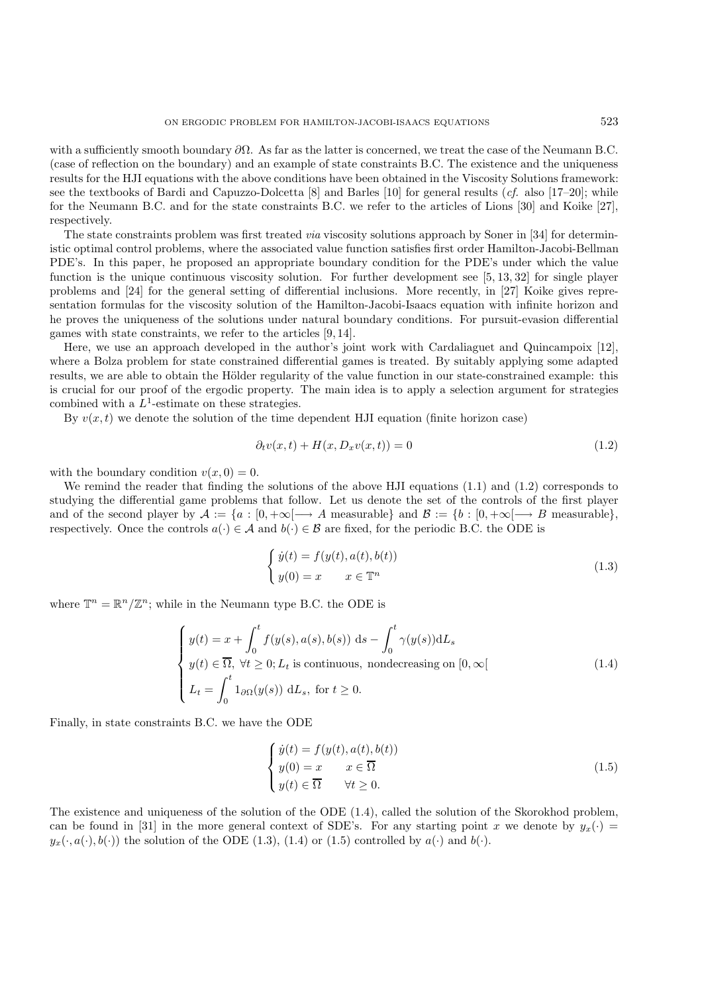with a sufficiently smooth boundary  $\partial\Omega$ . As far as the latter is concerned, we treat the case of the Neumann B.C. (case of reflection on the boundary) and an example of state constraints B.C. The existence and the uniqueness results for the HJI equations with the above conditions have been obtained in the Viscosity Solutions framework: see the textbooks of Bardi and Capuzzo-Dolcetta [8] and Barles [10] for general results (*cf.* also [17–20]; while for the Neumann B.C. and for the state constraints B.C. we refer to the articles of Lions [30] and Koike [27], respectively.

The state constraints problem was first treated *via* viscosity solutions approach by Soner in [34] for deterministic optimal control problems, where the associated value function satisfies first order Hamilton-Jacobi-Bellman PDE's. In this paper, he proposed an appropriate boundary condition for the PDE's under which the value function is the unique continuous viscosity solution. For further development see [5, 13, 32] for single player problems and [24] for the general setting of differential inclusions. More recently, in [27] Koike gives representation formulas for the viscosity solution of the Hamilton-Jacobi-Isaacs equation with infinite horizon and he proves the uniqueness of the solutions under natural boundary conditions. For pursuit-evasion differential games with state constraints, we refer to the articles [9, 14].

Here, we use an approach developed in the author's joint work with Cardaliaguet and Quincampoix [12], where a Bolza problem for state constrained differential games is treated. By suitably applying some adapted results, we are able to obtain the Hölder regularity of the value function in our state-constrained example: this is crucial for our proof of the ergodic property. The main idea is to apply a selection argument for strategies combined with a  $L^1$ -estimate on these strategies.

By  $v(x, t)$  we denote the solution of the time dependent HJI equation (finite horizon case)

$$
\partial_t v(x,t) + H(x, D_x v(x,t)) = 0 \tag{1.2}
$$

with the boundary condition  $v(x, 0) = 0$ .

We remind the reader that finding the solutions of the above HJI equations (1.1) and (1.2) corresponds to studying the differential game problems that follow. Let us denote the set of the controls of the first player and of the second player by  $\mathcal{A} := \{a : [0, +\infty[ \longrightarrow A \text{ measurable}\}\)$  and  $\mathcal{B} := \{b : [0, +\infty[ \longrightarrow B \text{ measurable}\}\)$ respectively. Once the controls  $a(\cdot) \in \mathcal{A}$  and  $b(\cdot) \in \mathcal{B}$  are fixed, for the periodic B.C. the ODE is

$$
\begin{cases}\n\dot{y}(t) = f(y(t), a(t), b(t)) \\
y(0) = x \quad x \in \mathbb{T}^n\n\end{cases}
$$
\n(1.3)

where  $\mathbb{T}^n = \mathbb{R}^n / \mathbb{Z}^n$ ; while in the Neumann type B.C. the ODE is

$$
\begin{cases}\ny(t) = x + \int_0^t f(y(s), a(s), b(s)) \, ds - \int_0^t \gamma(y(s)) dL_s \\
y(t) \in \overline{\Omega}, \ \forall t \ge 0; L_t \text{ is continuous, nondecreasing on } [0, \infty[ \\
L_t = \int_0^t 1_{\partial\Omega}(y(s)) \, dL_s, \text{ for } t \ge 0.\n\end{cases} \tag{1.4}
$$

Finally, in state constraints B.C. we have the ODE

$$
\begin{cases}\n\dot{y}(t) = f(y(t), a(t), b(t)) \\
y(0) = x \qquad x \in \overline{\Omega} \\
y(t) \in \overline{\Omega} \qquad \forall t \ge 0.\n\end{cases}
$$
\n(1.5)

The existence and uniqueness of the solution of the ODE (1.4), called the solution of the Skorokhod problem, can be found in [31] in the more general context of SDE's. For any starting point x we denote by  $y_x(\cdot)$  =  $y_x(\cdot, a(\cdot), b(\cdot))$  the solution of the ODE (1.3), (1.4) or (1.5) controlled by  $a(\cdot)$  and  $b(\cdot)$ .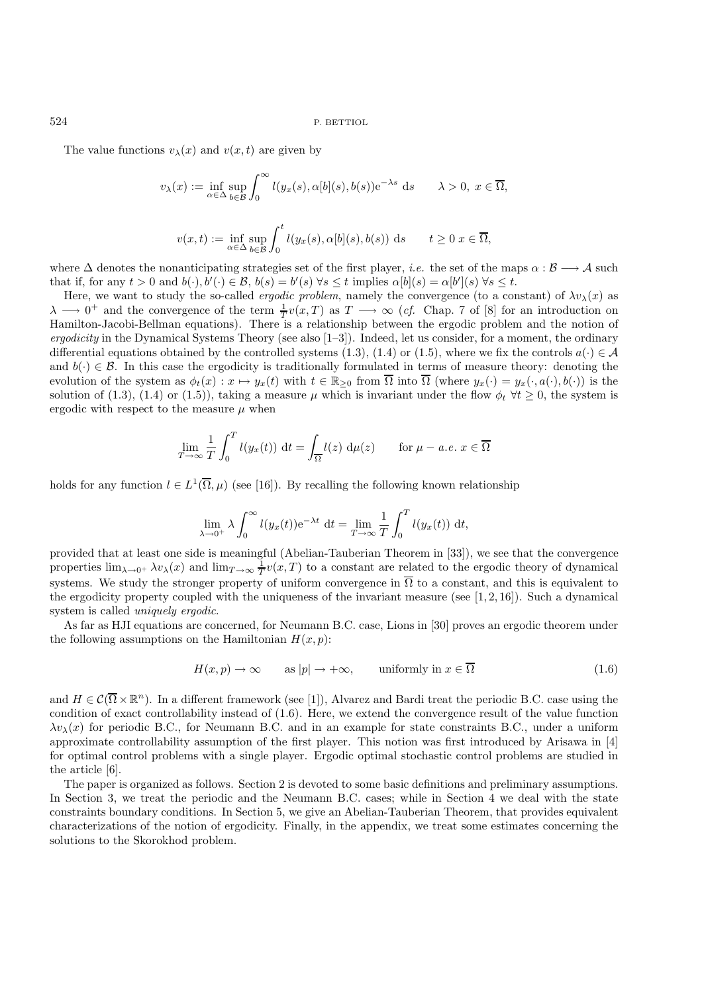The value functions  $v_{\lambda}(x)$  and  $v(x, t)$  are given by

$$
v_{\lambda}(x) := \inf_{\alpha \in \Delta} \sup_{b \in \mathcal{B}} \int_0^{\infty} l(y_x(s), \alpha[b](s), b(s)) e^{-\lambda s} ds \quad \lambda > 0, \ x \in \overline{\Omega},
$$
  

$$
v(x, t) := \inf_{\alpha \in \Delta} \sup_{b \in \mathcal{B}} \int_0^t l(y_x(s), \alpha[b](s), b(s)) ds \quad t \ge 0 \ x \in \overline{\Omega},
$$

where  $\Delta$  denotes the nonanticipating strategies set of the first player, *i.e.* the set of the maps  $\alpha : \mathcal{B} \longrightarrow \mathcal{A}$  such that if, for any  $t > 0$  and  $b(\cdot), b'(\cdot) \in \mathcal{B}$ ,  $b(s) = b'(s) \forall s \le t$  implies  $\alpha[b](s) = \alpha[b'](s) \forall s \le t$ .

Here, we want to study the so-called *ergodic problem*, namely the convergence (to a constant) of  $\lambda v_{\lambda}(x)$  as  $\lambda \longrightarrow 0^+$  and the convergence of the term  $\frac{1}{T}v(x,T)$  as  $T \longrightarrow \infty$  (*cf.* Chap. 7 of [8] for an introduction on Hamilton-Jacobi-Bellman equations). There is a relationship between the ergodic problem and the notion of *ergodicity* in the Dynamical Systems Theory (see also [1–3]). Indeed, let us consider, for a moment, the ordinary differential equations obtained by the controlled systems (1.3), (1.4) or (1.5), where we fix the controls  $a(\cdot) \in \mathcal{A}$ and  $b(\cdot) \in \mathcal{B}$ . In this case the ergodicity is traditionally formulated in terms of measure theory: denoting the evolution of the system as  $\phi_t(x) : x \mapsto y_x(t)$  with  $t \in \mathbb{R}_{\geq 0}$  from  $\overline{\Omega}$  into  $\overline{\Omega}$  (where  $y_x(\cdot) = y_x(\cdot, a(\cdot), b(\cdot))$  is the solution of (1.3), (1.4) or (1.5)), taking a measure  $\mu$  which is invariant under the flow  $\phi_t$   $\forall t \ge 0$ , the system is ergodic with respect to the measure  $\mu$  when

$$
\lim_{T \to \infty} \frac{1}{T} \int_0^T l(y_x(t)) dt = \int_{\overline{\Omega}} l(z) d\mu(z) \quad \text{for } \mu - a.e. \ x \in \overline{\Omega}
$$

holds for any function  $l \in L^1(\overline{\Omega}, \mu)$  (see [16]). By recalling the following known relationship

$$
\lim_{\lambda \to 0^+} \lambda \int_0^\infty l(y_x(t)) e^{-\lambda t} dt = \lim_{T \to \infty} \frac{1}{T} \int_0^T l(y_x(t)) dt,
$$

provided that at least one side is meaningful (Abelian-Tauberian Theorem in [33]), we see that the convergence properties  $\lim_{\lambda\to 0^+} \lambda v_\lambda(x)$  and  $\lim_{T\to\infty} \frac{1}{T}v(x,T)$  to a constant are related to the ergodic theory of dynamical systems. We study the stronger property of uniform convergence in  $\overline{\Omega}$  to a constant, and this is equivalent to the ergodicity property coupled with the uniqueness of the invariant measure (see  $[1, 2, 16]$ ). Such a dynamical system is called *uniquely ergodic*.

As far as HJI equations are concerned, for Neumann B.C. case, Lions in [30] proves an ergodic theorem under the following assumptions on the Hamiltonian  $H(x, p)$ :

$$
H(x, p) \to \infty \quad \text{as } |p| \to +\infty, \quad \text{uniformly in } x \in \overline{\Omega}
$$
 (1.6)

and  $H \in \mathcal{C}(\overline{\Omega} \times \mathbb{R}^n)$ . In a different framework (see [1]), Alvarez and Bardi treat the periodic B.C. case using the condition of exact controllability instead of (1.6). Here, we extend the convergence result of the value function  $\lambda v_{\lambda}(x)$  for periodic B.C., for Neumann B.C. and in an example for state constraints B.C., under a uniform approximate controllability assumption of the first player. This notion was first introduced by Arisawa in [4] for optimal control problems with a single player. Ergodic optimal stochastic control problems are studied in the article [6].

The paper is organized as follows. Section 2 is devoted to some basic definitions and preliminary assumptions. In Section 3, we treat the periodic and the Neumann B.C. cases; while in Section 4 we deal with the state constraints boundary conditions. In Section 5, we give an Abelian-Tauberian Theorem, that provides equivalent characterizations of the notion of ergodicity. Finally, in the appendix, we treat some estimates concerning the solutions to the Skorokhod problem.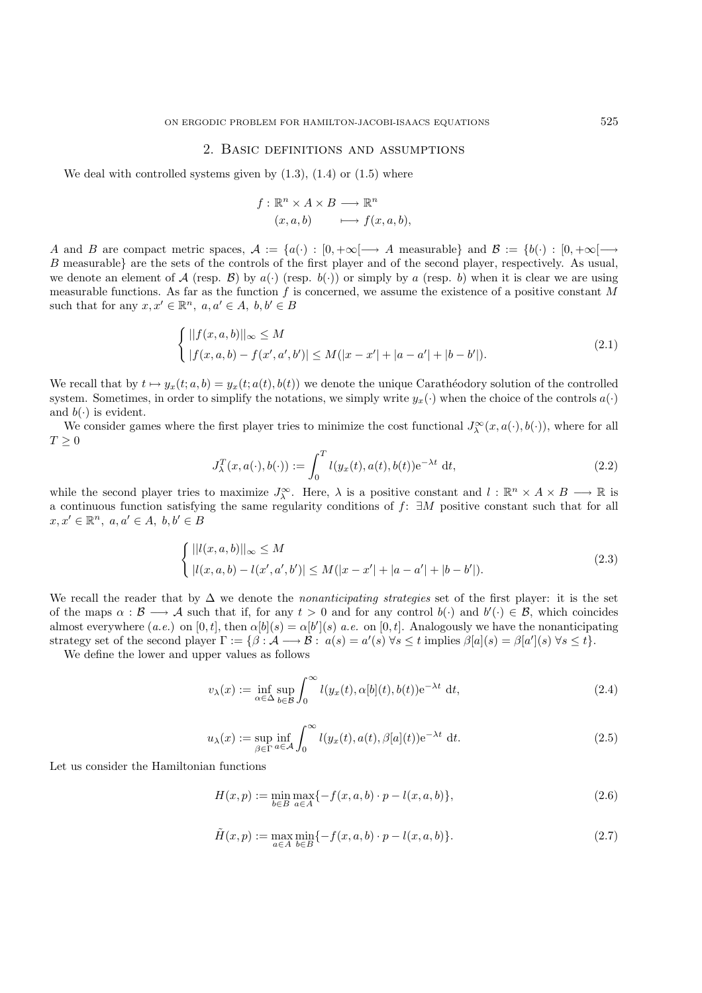#### 2. Basic definitions and assumptions

We deal with controlled systems given by  $(1.3)$ ,  $(1.4)$  or  $(1.5)$  where

$$
f: \mathbb{R}^n \times A \times B \longrightarrow \mathbb{R}^n
$$

$$
(x, a, b) \qquad \longmapsto f(x, a, b),
$$

A and B are compact metric spaces,  $A := \{a(\cdot) : [0, +\infty] \longrightarrow A \text{ measurable}\}\$ and  $B := \{b(\cdot) : [0, +\infty] \longrightarrow A \text{ measurable}\}\$ B measurable} are the sets of the controls of the first player and of the second player, respectively. As usual, we denote an element of A (resp. B) by  $a(\cdot)$  (resp.  $b(\cdot)$ ) or simply by a (resp. b) when it is clear we are using measurable functions. As far as the function  $f$  is concerned, we assume the existence of a positive constant  $M$ such that for any  $x, x' \in \mathbb{R}^n$ ,  $a, a' \in A$ ,  $b, b' \in B$ 

$$
\begin{cases} ||f(x,a,b)||_{\infty} \le M \\ |f(x,a,b) - f(x',a',b')| \le M(|x - x'| + |a - a'| + |b - b'|). \end{cases}
$$
\n(2.1)

We recall that by  $t \mapsto y_x(t; a, b) = y_x(t; a(t), b(t))$  we denote the unique Carathéodory solution of the controlled system. Sometimes, in order to simplify the notations, we simply write  $y_x(\cdot)$  when the choice of the controls  $a(\cdot)$ and  $b(\cdot)$  is evident.

We consider games where the first player tries to minimize the cost functional  $J^{\infty}_{\lambda}(x, a(\cdot), b(\cdot))$ , where for all  $T \geq 0$ 

$$
J_{\lambda}^{T}(x, a(\cdot), b(\cdot)) := \int_{0}^{T} l(y_x(t), a(t), b(t)) e^{-\lambda t} dt,
$$
\n(2.2)

while the second player tries to maximize  $J_{\lambda}^{\infty}$ . Here,  $\lambda$  is a positive constant and  $l : \mathbb{R}^n \times A \times B \longrightarrow \mathbb{R}$  is a continuous function satisfying the same regularity conditions of f: ∃M positive constant such that for all  $x, x' \in \mathbb{R}^n$ ,  $a, a' \in A$ ,  $b, b' \in B$ 

$$
\begin{cases} ||l(x,a,b)||_{\infty} \le M \\ |l(x,a,b) - l(x',a',b')| \le M(|x - x'| + |a - a'| + |b - b'|). \end{cases}
$$
\n(2.3)

We recall the reader that by ∆ we denote the *nonanticipating strategies* set of the first player: it is the set of the maps  $\alpha : \mathcal{B} \longrightarrow \mathcal{A}$  such that if, for any  $t > 0$  and for any control  $b(\cdot)$  and  $b'(\cdot) \in \mathcal{B}$ , which coincides almost everywhere  $(a.e.)$  on  $[0, t]$ , then  $\alpha[b](s) = \alpha[b'](s)$  *a.e.* on  $[0, t]$ . Analogously we have the nonanticipating strategy set of the second player  $\Gamma := \{ \beta : A \longrightarrow B : a(s) = a'(s) \,\forall s \le t \text{ implies } \beta[a](s) = \beta[a'](s) \,\forall s \le t \}.$ 

We define the lower and upper values as follows

$$
v_{\lambda}(x) := \inf_{\alpha \in \Delta} \sup_{b \in \mathcal{B}} \int_0^{\infty} l(y_x(t), \alpha[b](t), b(t)) e^{-\lambda t} dt,
$$
\n(2.4)

$$
u_{\lambda}(x) := \sup_{\beta \in \Gamma} \inf_{a \in \mathcal{A}} \int_0^{\infty} l(y_x(t), a(t), \beta[a](t)) e^{-\lambda t} dt.
$$
 (2.5)

Let us consider the Hamiltonian functions

$$
H(x,p) := \min_{b \in B} \max_{a \in A} \{-f(x,a,b) \cdot p - l(x,a,b)\},\tag{2.6}
$$

$$
\tilde{H}(x, p) := \max_{a \in A} \min_{b \in B} \{-f(x, a, b) \cdot p - l(x, a, b)\}.
$$
\n(2.7)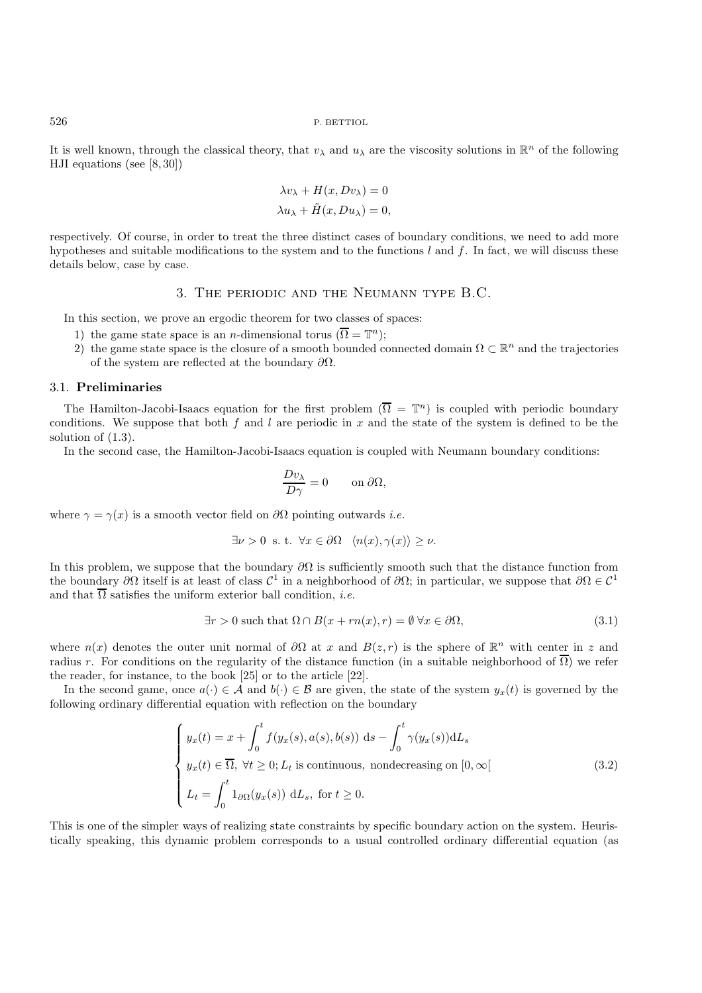It is well known, through the classical theory, that  $v_\lambda$  and  $u_\lambda$  are the viscosity solutions in  $\mathbb{R}^n$  of the following HJI equations (see [8, 30])

$$
\lambda v_{\lambda} + H(x, D v_{\lambda}) = 0
$$
  

$$
\lambda u_{\lambda} + \tilde{H}(x, D u_{\lambda}) = 0,
$$

respectively. Of course, in order to treat the three distinct cases of boundary conditions, we need to add more hypotheses and suitable modifications to the system and to the functions  $l$  and  $f$ . In fact, we will discuss these details below, case by case.

### 3. The periodic and the Neumann type B.C.

In this section, we prove an ergodic theorem for two classes of spaces:

- 1) the game state space is an *n*-dimensional torus ( $\overline{\Omega} = \mathbb{T}^n$ );
- 2) the game state space is the closure of a smooth bounded connected domain  $\Omega \subset \mathbb{R}^n$  and the trajectories of the system are reflected at the boundary  $\partial\Omega$ .

#### 3.1. **Preliminaries**

The Hamilton-Jacobi-Isaacs equation for the first problem ( $\overline{\Omega} = \mathbb{T}^n$ ) is coupled with periodic boundary conditions. We suppose that both f and l are periodic in x and the state of the system is defined to be the solution of (1.3).

In the second case, the Hamilton-Jacobi-Isaacs equation is coupled with Neumann boundary conditions:

$$
\frac{Dv_{\lambda}}{D\gamma} = 0 \qquad \text{on } \partial\Omega,
$$

where  $\gamma = \gamma(x)$  is a smooth vector field on  $\partial\Omega$  pointing outwards *i.e.* 

$$
\exists \nu > 0 \text{ s. t. } \forall x \in \partial \Omega \quad \langle n(x), \gamma(x) \rangle \ge \nu.
$$

In this problem, we suppose that the boundary  $\partial\Omega$  is sufficiently smooth such that the distance function from the boundary  $\partial\Omega$  itself is at least of class  $\mathcal{C}^1$  in a neighborhood of  $\partial\Omega$ ; in particular, we suppose that  $\partial\Omega \in \mathcal{C}^1$ and that  $\overline{\Omega}$  satisfies the uniform exterior ball condition, *i.e.* 

$$
\exists r > 0 \text{ such that } \Omega \cap B(x + rn(x), r) = \emptyset \,\forall x \in \partial\Omega,\tag{3.1}
$$

where  $n(x)$  denotes the outer unit normal of  $\partial\Omega$  at x and  $B(z, r)$  is the sphere of  $\mathbb{R}^n$  with center in z and radius r. For conditions on the regularity of the distance function (in a suitable neighborhood of  $\overline{\Omega}$ ) we refer the reader, for instance, to the book [25] or to the article [22].

In the second game, once  $a(\cdot) \in \mathcal{A}$  and  $b(\cdot) \in \mathcal{B}$  are given, the state of the system  $y_x(t)$  is governed by the following ordinary differential equation with reflection on the boundary

$$
\begin{cases}\ny_x(t) = x + \int_0^t f(y_x(s), a(s), b(s)) \, ds - \int_0^t \gamma(y_x(s)) dL_s \\
y_x(t) \in \overline{\Omega}, \ \forall t \ge 0; L_t \text{ is continuous, nondecreasing on } [0, \infty[ \\
L_t = \int_0^t 1_{\partial\Omega}(y_x(s)) \, dL_s, \text{ for } t \ge 0.\n\end{cases}
$$
\n(3.2)

This is one of the simpler ways of realizing state constraints by specific boundary action on the system. Heuristically speaking, this dynamic problem corresponds to a usual controlled ordinary differential equation (as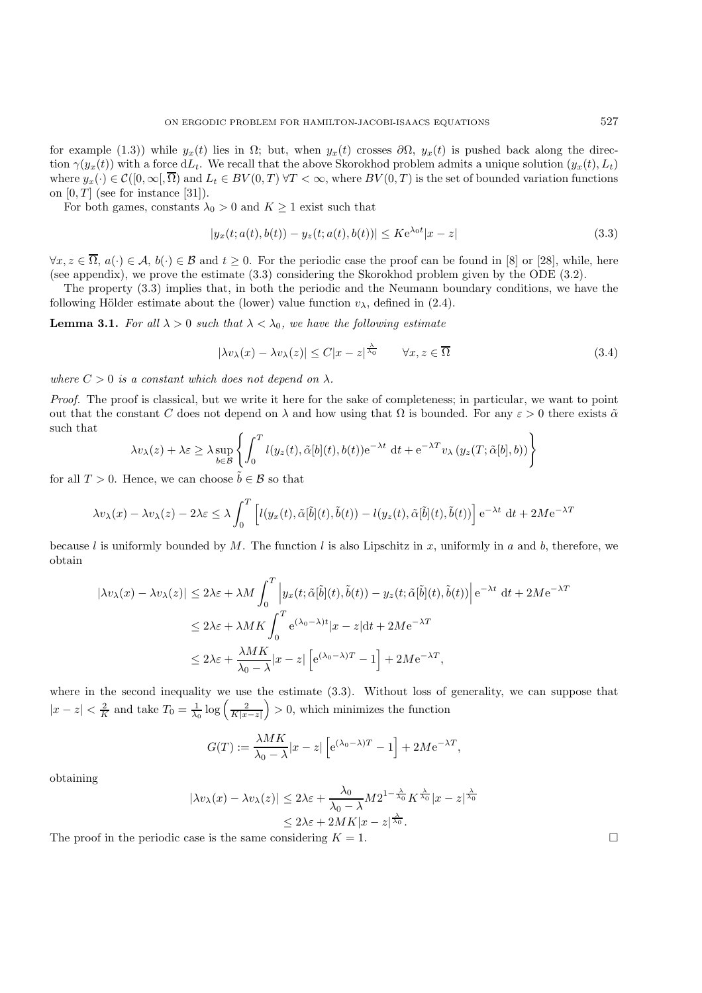for example (1.3)) while  $y_x(t)$  lies in  $\Omega$ ; but, when  $y_x(t)$  crosses  $\partial\Omega$ ,  $y_x(t)$  is pushed back along the direction  $\gamma(y_x(t))$  with a force  $dL_t$ . We recall that the above Skorokhod problem admits a unique solution  $(y_x(t), L_t)$ where  $y_x(\cdot) \in \mathcal{C}([0,\infty),\overline{\Omega})$  and  $L_t \in BV(0,T)$   $\forall T < \infty$ , where  $BV(0,T)$  is the set of bounded variation functions on  $[0, T]$  (see for instance [31]).

For both games, constants  $\lambda_0 > 0$  and  $K \geq 1$  exist such that

$$
|y_x(t; a(t), b(t)) - y_z(t; a(t), b(t))| \le K e^{\lambda_0 t} |x - z|
$$
\n(3.3)

 $\forall x, z \in \overline{\Omega}, a(\cdot) \in \mathcal{A}, b(\cdot) \in \mathcal{B}$  and  $t \geq 0$ . For the periodic case the proof can be found in [8] or [28], while, here (see appendix), we prove the estimate (3.3) considering the Skorokhod problem given by the ODE (3.2).

The property (3.3) implies that, in both the periodic and the Neumann boundary conditions, we have the following Hölder estimate about the (lower) value function  $v_{\lambda}$ , defined in (2.4).

**Lemma 3.1.** *For all*  $\lambda > 0$  *such that*  $\lambda < \lambda_0$ *, we have the following estimate* 

$$
|\lambda v_{\lambda}(x) - \lambda v_{\lambda}(z)| \le C|x - z|^{\frac{\lambda}{\lambda_0}} \qquad \forall x, z \in \overline{\Omega}
$$
\n(3.4)

*where*  $C > 0$  *is a constant which does not depend on*  $\lambda$ *.* 

*Proof.* The proof is classical, but we write it here for the sake of completeness; in particular, we want to point out that the constant C does not depend on  $\lambda$  and how using that  $\Omega$  is bounded. For any  $\varepsilon > 0$  there exists  $\tilde{\alpha}$ such that

$$
\lambda v_{\lambda}(z) + \lambda \varepsilon \ge \lambda \sup_{b \in \mathcal{B}} \left\{ \int_0^T l(y_z(t), \tilde{\alpha}[b](t), b(t)) e^{-\lambda t} dt + e^{-\lambda T} v_{\lambda} (y_z(T; \tilde{\alpha}[b], b)) \right\}
$$

for all  $T > 0$ . Hence, we can choose  $b \in \mathcal{B}$  so that

$$
\lambda v_{\lambda}(x) - \lambda v_{\lambda}(z) - 2\lambda \varepsilon \leq \lambda \int_0^T \left[ l(y_x(t), \tilde{\alpha}[\tilde{b}](t), \tilde{b}(t)) - l(y_z(t), \tilde{\alpha}[\tilde{b}](t), \tilde{b}(t)) \right] e^{-\lambda t} dt + 2M e^{-\lambda T}
$$

because l is uniformly bounded by M. The function l is also Lipschitz in x, uniformly in a and b, therefore, we obtain

$$
|\lambda v_{\lambda}(x) - \lambda v_{\lambda}(z)| \le 2\lambda \varepsilon + \lambda M \int_{0}^{T} \left| y_{x}(t; \tilde{\alpha}[\tilde{b}](t), \tilde{b}(t)) - y_{z}(t; \tilde{\alpha}[\tilde{b}](t), \tilde{b}(t)) \right| e^{-\lambda t} dt + 2M e^{-\lambda T}
$$
  

$$
\le 2\lambda \varepsilon + \lambda M K \int_{0}^{T} e^{(\lambda_{0} - \lambda)t} |x - z| dt + 2M e^{-\lambda T}
$$
  

$$
\le 2\lambda \varepsilon + \frac{\lambda M K}{\lambda_{0} - \lambda} |x - z| \left[ e^{(\lambda_{0} - \lambda)T} - 1 \right] + 2M e^{-\lambda T},
$$

where in the second inequality we use the estimate (3.3). Without loss of generality, we can suppose that  $|x-z| < \frac{2}{K}$  and take  $T_0 = \frac{1}{\lambda_0} \log \left( \frac{2}{K|x-z|} \right) > 0$ , which minimizes the function

$$
G(T) := \frac{\lambda MK}{\lambda_0 - \lambda} |x - z| \left[ e^{(\lambda_0 - \lambda)T} - 1 \right] + 2Me^{-\lambda T},
$$

obtaining

$$
|\lambda v_{\lambda}(x) - \lambda v_{\lambda}(z)| \leq 2\lambda \varepsilon + \frac{\lambda_0}{\lambda_0 - \lambda} M 2^{1 - \frac{\lambda}{\lambda_0}} K^{\frac{\lambda}{\lambda_0}} |x - z|^{\frac{\lambda}{\lambda_0}} \leq 2\lambda \varepsilon + 2MK |x - z|^{\frac{\lambda}{\lambda_0}}.
$$

The proof in the periodic case is the same considering  $K = 1$ .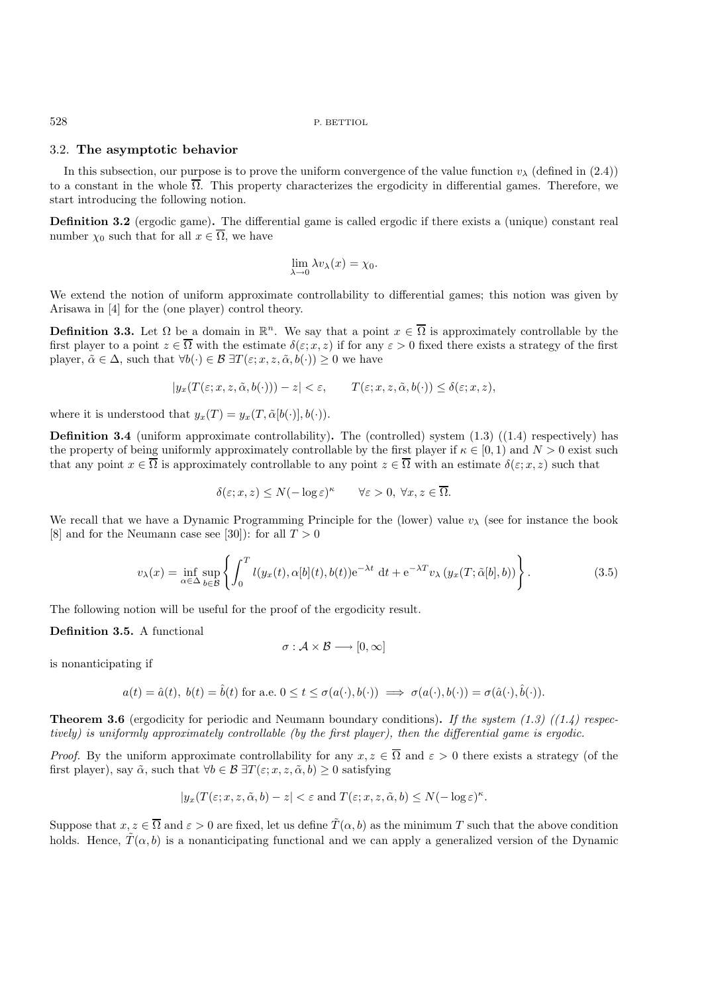### 3.2. **The asymptotic behavior**

In this subsection, our purpose is to prove the uniform convergence of the value function  $v_\lambda$  (defined in (2.4)) to a constant in the whole  $\overline{\Omega}$ . This property characterizes the ergodicity in differential games. Therefore, we start introducing the following notion.

**Definition 3.2** (ergodic game)**.** The differential game is called ergodic if there exists a (unique) constant real number  $\chi_0$  such that for all  $x \in \overline{\Omega}$ , we have

$$
\lim_{\lambda \to 0} \lambda v_{\lambda}(x) = \chi_0.
$$

We extend the notion of uniform approximate controllability to differential games; this notion was given by Arisawa in [4] for the (one player) control theory.

**Definition 3.3.** Let  $\Omega$  be a domain in  $\mathbb{R}^n$ . We say that a point  $x \in \overline{\Omega}$  is approximately controllable by the first player to a point  $z \in \overline{\Omega}$  with the estimate  $\delta(\varepsilon; x, z)$  if for any  $\varepsilon > 0$  fixed there exists a strategy of the first player,  $\tilde{\alpha} \in \Delta$ , such that  $\forall b(\cdot) \in \mathcal{B} \exists T(\varepsilon; x, z, \tilde{\alpha}, b(\cdot)) \geq 0$  we have

$$
|y_x(T(\varepsilon; x, z, \tilde{\alpha}, b(\cdot))) - z| < \varepsilon, \qquad T(\varepsilon; x, z, \tilde{\alpha}, b(\cdot)) \leq \delta(\varepsilon; x, z),
$$

where it is understood that  $y_x(T) = y_x(T, \tilde{\alpha}[b(\cdot)], b(\cdot)).$ 

**Definition 3.4** (uniform approximate controllability). The (controlled) system  $(1.3)$  ( $(1.4)$ ) respectively) has the property of being uniformly approximately controllable by the first player if  $\kappa \in [0,1)$  and  $N > 0$  exist such that any point  $x \in \overline{\Omega}$  is approximately controllable to any point  $z \in \overline{\Omega}$  with an estimate  $\delta(\varepsilon; x, z)$  such that

$$
\delta(\varepsilon; x, z) \le N(-\log \varepsilon)^{\kappa} \qquad \forall \varepsilon > 0, \ \forall x, z \in \overline{\Omega}.
$$

We recall that we have a Dynamic Programming Principle for the (lower) value  $v_{\lambda}$  (see for instance the book [8] and for the Neumann case see [30]): for all  $T > 0$ 

$$
v_{\lambda}(x) = \inf_{\alpha \in \Delta} \sup_{b \in \mathcal{B}} \left\{ \int_0^T l(y_x(t), \alpha[b](t), b(t)) e^{-\lambda t} dt + e^{-\lambda T} v_{\lambda} (y_x(T; \tilde{\alpha}[b], b)) \right\}.
$$
 (3.5)

The following notion will be useful for the proof of the ergodicity result.

**Definition 3.5.** A functional

$$
\sigma: \mathcal{A} \times \mathcal{B} \longrightarrow [0, \infty]
$$

is nonanticipating if

$$
a(t) = \hat{a}(t), b(t) = \hat{b}(t)
$$
 for a.e.  $0 \le t \le \sigma(a(\cdot), b(\cdot)) \implies \sigma(a(\cdot), b(\cdot)) = \sigma(\hat{a}(\cdot), \hat{b}(\cdot)).$ 

**Theorem 3.6** (ergodicity for periodic and Neumann boundary conditions)**.** *If the system (1.3) ((1.4) respectively) is uniformly approximately controllable (by the first player), then the differential game is ergodic.*

*Proof.* By the uniform approximate controllability for any  $x, z \in \overline{\Omega}$  and  $\varepsilon > 0$  there exists a strategy (of the first player), say  $\tilde{\alpha}$ , such that  $\forall b \in \mathcal{B} \exists T(\varepsilon; x, z, \tilde{\alpha}, b) \geq 0$  satisfying

$$
|y_x(T(\varepsilon; x, z, \tilde{\alpha}, b) - z| < \varepsilon \text{ and } T(\varepsilon; x, z, \tilde{\alpha}, b) \le N(-\log \varepsilon)^{\kappa}.
$$

Suppose that  $x, z \in \overline{\Omega}$  and  $\varepsilon > 0$  are fixed, let us define  $\tilde{T}(\alpha, b)$  as the minimum T such that the above condition holds. Hence,  $\tilde{T}(\alpha, b)$  is a nonanticipating functional and we can apply a generalized version of the Dynamic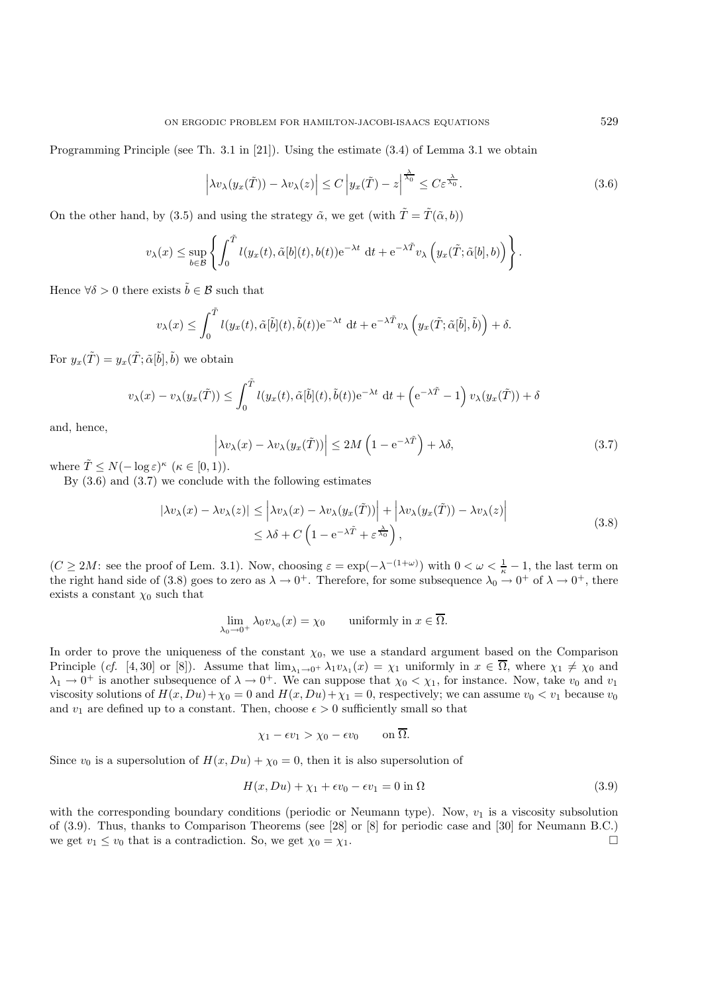$$
\left|\lambda v_{\lambda}(y_x(\tilde{T})) - \lambda v_{\lambda}(z)\right| \le C \left|y_x(\tilde{T}) - z\right|^{\frac{\lambda}{\lambda_0}} \le C\varepsilon^{\frac{\lambda}{\lambda_0}}.
$$
\n(3.6)

On the other hand, by (3.5) and using the strategy  $\tilde{\alpha}$ , we get (with  $\tilde{T} = \tilde{T}(\tilde{\alpha}, b)$ )

$$
v_{\lambda}(x) \leq \sup_{b \in \mathcal{B}} \left\{ \int_0^{\tilde{T}} l(y_x(t), \tilde{\alpha}[b](t), b(t)) e^{-\lambda t} dt + e^{-\lambda \tilde{T}} v_{\lambda} \left( y_x(\tilde{T}; \tilde{\alpha}[b], b) \right) \right\}.
$$

Hence  $\forall \delta > 0$  there exists  $\tilde{b} \in \mathcal{B}$  such that

$$
v_{\lambda}(x) \leq \int_0^{\tilde{T}} l(y_x(t), \tilde{\alpha}[\tilde{b}](t), \tilde{b}(t)) e^{-\lambda t} dt + e^{-\lambda \tilde{T}} v_{\lambda} \left( y_x(\tilde{T}; \tilde{\alpha}[\tilde{b}], \tilde{b}) \right) + \delta.
$$

For  $y_x(\tilde{T}) = y_x(\tilde{T}; \tilde{\alpha}[\tilde{b}], \tilde{b})$  we obtain

$$
v_{\lambda}(x) - v_{\lambda}(y_x(\tilde{T})) \le \int_0^{\tilde{T}} l(y_x(t), \tilde{\alpha}[\tilde{b}](t), \tilde{b}(t)) e^{-\lambda t} dt + \left(e^{-\lambda \tilde{T}} - 1\right) v_{\lambda}(y_x(\tilde{T})) + \delta
$$

and, hence,

$$
\left| \lambda v_{\lambda}(x) - \lambda v_{\lambda}(y_{x}(\tilde{T})) \right| \le 2M \left( 1 - e^{-\lambda \tilde{T}} \right) + \lambda \delta, \tag{3.7}
$$

where  $\tilde{T} \leq N(-\log \varepsilon)^{\kappa}$   $(\kappa \in [0,1)).$ 

By (3.6) and (3.7) we conclude with the following estimates

$$
|\lambda v_{\lambda}(x) - \lambda v_{\lambda}(z)| \leq |\lambda v_{\lambda}(x) - \lambda v_{\lambda}(y_{x}(\tilde{T}))| + |\lambda v_{\lambda}(y_{x}(\tilde{T})) - \lambda v_{\lambda}(z)|
$$
  
 
$$
\leq \lambda \delta + C \left(1 - e^{-\lambda \tilde{T}} + \varepsilon^{\frac{\lambda}{\lambda_0}}\right),
$$
 (3.8)

 $(C \ge 2M$ : see the proof of Lem. 3.1). Now, choosing  $\varepsilon = \exp(-\lambda^{-(1+\omega)})$  with  $0 < \omega < \frac{1}{\kappa} - 1$ , the last term on the right hand side of (3.8) goes to zero as  $\lambda \to 0^+$ . Therefore, for some subsequence  $\lambda_0 \to 0^+$  of  $\lambda \to 0^+$ , there exists a constant  $\chi_0$  such that

$$
\lim_{\lambda_0 \to 0^+} \lambda_0 v_{\lambda_0}(x) = \chi_0 \quad \text{ uniformly in } x \in \overline{\Omega}.
$$

In order to prove the uniqueness of the constant  $\chi_0$ , we use a standard argument based on the Comparison Principle (*cf.* [4, 30] or [8]). Assume that  $\lim_{\lambda_1\to 0^+}\lambda_1v_{\lambda_1}(x) = \chi_1$  uniformly in  $x \in \overline{\Omega}$ , where  $\chi_1 \neq \chi_0$  and  $\lambda_1 \to 0^+$  is another subsequence of  $\lambda \to 0^+$ . We can suppose that  $\chi_0 < \chi_1$ , for instance. Now, take  $v_0$  and  $v_1$ viscosity solutions of  $H(x, Du) + \chi_0 = 0$  and  $H(x, Du) + \chi_1 = 0$ , respectively; we can assume  $v_0 < v_1$  because  $v_0$ and  $v_1$  are defined up to a constant. Then, choose  $\epsilon > 0$  sufficiently small so that

$$
\chi_1 - \epsilon v_1 > \chi_0 - \epsilon v_0 \qquad \text{on } \overline{\Omega}.
$$

Since  $v_0$  is a supersolution of  $H(x, Du) + \chi_0 = 0$ , then it is also supersolution of

$$
H(x, Du) + \chi_1 + \epsilon v_0 - \epsilon v_1 = 0 \text{ in } \Omega \tag{3.9}
$$

with the corresponding boundary conditions (periodic or Neumann type). Now,  $v_1$  is a viscosity subsolution of (3.9). Thus, thanks to Comparison Theorems (see [28] or [8] for periodic case and [30] for Neumann B.C.) we get  $v_1 \le v_0$  that is a contradiction. So, we get  $\chi_0 = \chi_1$ .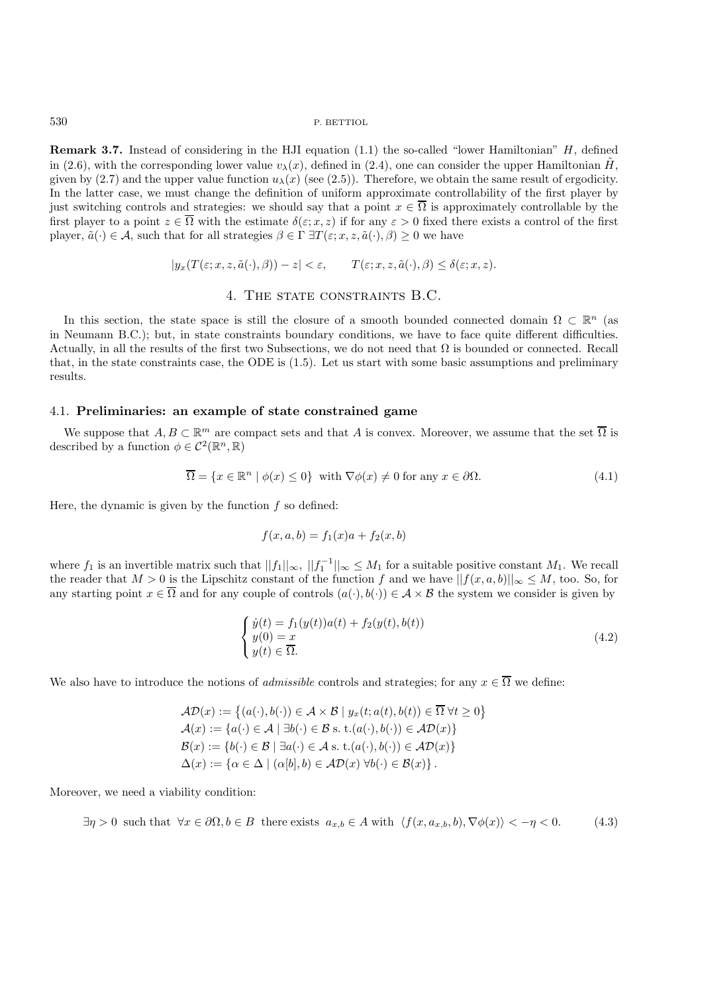**Remark 3.7.** Instead of considering in the HJI equation (1.1) the so-called "lower Hamiltonian" H, defined in (2.6), with the corresponding lower value  $v_{\lambda}(x)$ , defined in (2.4), one can consider the upper Hamiltonian H, given by (2.7) and the upper value function  $u_{\lambda}(x)$  (see (2.5)). Therefore, we obtain the same result of ergodicity. In the latter case, we must change the definition of uniform approximate controllability of the first player by just switching controls and strategies: we should say that a point  $x \in \overline{\Omega}$  is approximately controllable by the first player to a point  $z \in \overline{\Omega}$  with the estimate  $\delta(\varepsilon; x, z)$  if for any  $\varepsilon > 0$  fixed there exists a control of the first player,  $\tilde{a}(\cdot) \in \mathcal{A}$ , such that for all strategies  $\beta \in \Gamma \exists T(\varepsilon; x, z, \tilde{a}(\cdot), \beta) \geq 0$  we have

$$
|y_x(T(\varepsilon; x, z, \tilde{a}(\cdot), \beta)) - z| < \varepsilon, \qquad T(\varepsilon; x, z, \tilde{a}(\cdot), \beta) \le \delta(\varepsilon; x, z).
$$

# 4. THE STATE CONSTRAINTS B.C.

In this section, the state space is still the closure of a smooth bounded connected domain  $\Omega \subset \mathbb{R}^n$  (as in Neumann B.C.); but, in state constraints boundary conditions, we have to face quite different difficulties. Actually, in all the results of the first two Subsections, we do not need that  $\Omega$  is bounded or connected. Recall that, in the state constraints case, the ODE is (1.5). Let us start with some basic assumptions and preliminary results.

### 4.1. **Preliminaries: an example of state constrained game**

We suppose that  $A, B \subset \mathbb{R}^m$  are compact sets and that A is convex. Moreover, we assume that the set  $\overline{\Omega}$  is described by a function  $\phi \in C^2(\mathbb{R}^n, \mathbb{R})$ 

$$
\overline{\Omega} = \{ x \in \mathbb{R}^n \mid \phi(x) \le 0 \} \text{ with } \nabla \phi(x) \ne 0 \text{ for any } x \in \partial \Omega. \tag{4.1}
$$

Here, the dynamic is given by the function  $f$  so defined:

$$
f(x, a, b) = f_1(x)a + f_2(x, b)
$$

where  $f_1$  is an invertible matrix such that  $||f_1||_{\infty}$ ,  $||f_1^{-1}||_{\infty} \leq M_1$  for a suitable positive constant  $M_1$ . We recall the reader that  $M > 0$  is the Lipschitz constant of the function f and we have  $||f(x, a, b)||_{\infty} \leq M$ , too. So, for any starting point  $x \in \overline{\Omega}$  and for any couple of controls  $(a(\cdot), b(\cdot)) \in \mathcal{A} \times \mathcal{B}$  the system we consider is given by

$$
\begin{cases}\n\dot{y}(t) = f_1(y(t))a(t) + f_2(y(t), b(t)) \\
y(0) = x \\
y(t) \in \overline{\Omega}.\n\end{cases}
$$
\n(4.2)

We also have to introduce the notions of *admissible* controls and strategies; for any  $x \in \overline{\Omega}$  we define:

$$
\mathcal{AD}(x) := \left\{ (a(\cdot), b(\cdot)) \in \mathcal{A} \times \mathcal{B} \mid y_x(t; a(t), b(t)) \in \overline{\Omega} \,\forall t \ge 0 \right\}
$$
  
\n
$$
\mathcal{A}(x) := \left\{ a(\cdot) \in \mathcal{A} \mid \exists b(\cdot) \in \mathcal{B} \text{ s. t.} (a(\cdot), b(\cdot)) \in \mathcal{AD}(x) \right\}
$$
  
\n
$$
\mathcal{B}(x) := \left\{ b(\cdot) \in \mathcal{B} \mid \exists a(\cdot) \in \mathcal{A} \text{ s. t.} (a(\cdot), b(\cdot)) \in \mathcal{AD}(x) \right\}
$$
  
\n
$$
\Delta(x) := \left\{ \alpha \in \Delta \mid (\alpha[b], b) \in \mathcal{AD}(x) \,\forall b(\cdot) \in \mathcal{B}(x) \right\}.
$$

Moreover, we need a viability condition:

$$
\exists \eta > 0 \text{ such that } \forall x \in \partial \Omega, b \in B \text{ there exists } a_{x,b} \in A \text{ with } \langle f(x, a_{x,b}, b), \nabla \phi(x) \rangle < -\eta < 0. \tag{4.3}
$$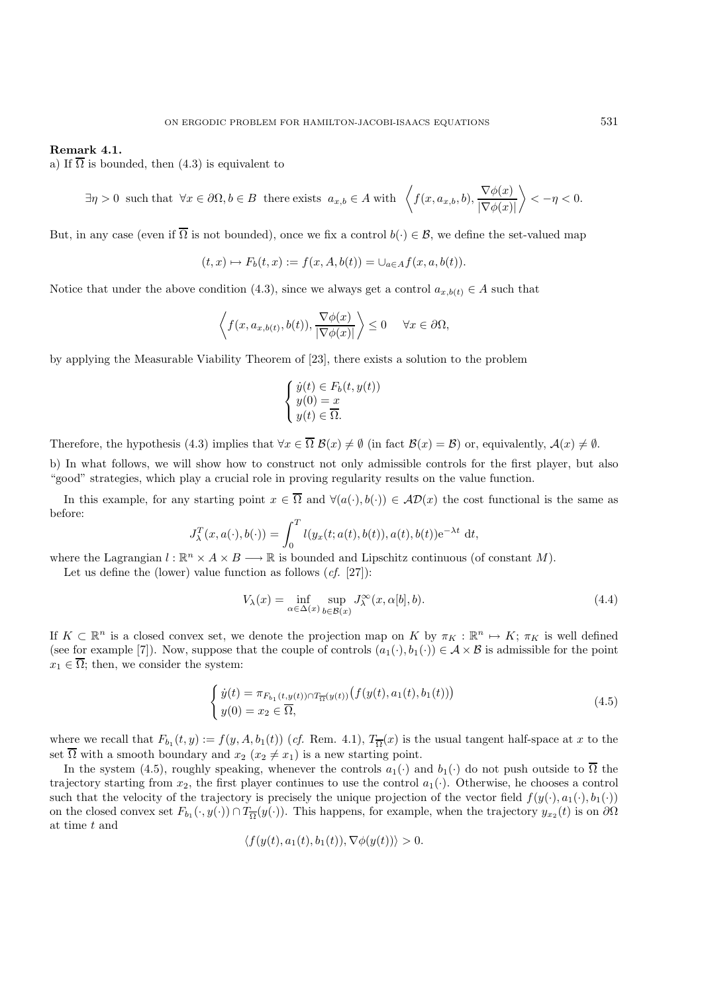### **Remark 4.1.**

a) If  $\overline{\Omega}$  is bounded, then (4.3) is equivalent to

$$
\exists \eta > 0 \text{ such that } \forall x \in \partial \Omega, b \in B \text{ there exists } a_{x,b} \in A \text{ with } \left\langle f(x, a_{x,b}, b), \frac{\nabla \phi(x)}{|\nabla \phi(x)|} \right\rangle < -\eta < 0.
$$

But, in any case (even if  $\overline{\Omega}$  is not bounded), once we fix a control  $b(\cdot) \in \mathcal{B}$ , we define the set-valued map

$$
(t, x) \mapsto F_b(t, x) := f(x, A, b(t)) = \bigcup_{a \in A} f(x, a, b(t)).
$$

Notice that under the above condition (4.3), since we always get a control  $a_{x,b(t)} \in A$  such that

$$
\left\langle f(x, a_{x,b(t)}, b(t)), \frac{\nabla \phi(x)}{|\nabla \phi(x)|} \right\rangle \le 0 \quad \forall x \in \partial \Omega,
$$

by applying the Measurable Viability Theorem of [23], there exists a solution to the problem

$$
\begin{cases} \n\dot{y}(t) \in F_b(t, y(t)) \\
y(0) = x \\
y(t) \in \overline{\Omega}.\n\end{cases}
$$

Therefore, the hypothesis (4.3) implies that  $\forall x \in \overline{\Omega} \mathcal{B}(x) \neq \emptyset$  (in fact  $\mathcal{B}(x) = \mathcal{B}$ ) or, equivalently,  $\mathcal{A}(x) \neq \emptyset$ .

b) In what follows, we will show how to construct not only admissible controls for the first player, but also "good" strategies, which play a crucial role in proving regularity results on the value function.

In this example, for any starting point  $x \in \overline{\Omega}$  and  $\forall (a(\cdot), b(\cdot)) \in \mathcal{AD}(x)$  the cost functional is the same as before:

$$
J_{\lambda}^{T}(x, a(\cdot), b(\cdot)) = \int_{0}^{T} l(y_x(t; a(t), b(t)), a(t), b(t)) e^{-\lambda t} dt,
$$

where the Lagrangian  $l : \mathbb{R}^n \times A \times B \longrightarrow \mathbb{R}$  is bounded and Lipschitz continuous (of constant M).

Let us define the (lower) value function as follows (*cf.* [27]):

$$
V_{\lambda}(x) = \inf_{\alpha \in \Delta(x)} \sup_{b \in \mathcal{B}(x)} J_{\lambda}^{\infty}(x, \alpha[b], b).
$$
 (4.4)

If  $K \subset \mathbb{R}^n$  is a closed convex set, we denote the projection map on K by  $\pi_K : \mathbb{R}^n \to K$ ;  $\pi_K$  is well defined (see for example [7]). Now, suppose that the couple of controls  $(a_1(\cdot), b_1(\cdot)) \in \mathcal{A} \times \mathcal{B}$  is admissible for the point  $x_1 \in \overline{\Omega}$ ; then, we consider the system:

$$
\begin{cases}\n\dot{y}(t) = \pi_{F_{b_1}(t, y(t)) \cap T_{\overline{\Omega}}(y(t))} \left( f(y(t), a_1(t), b_1(t)) \right) \\
y(0) = x_2 \in \overline{\Omega},\n\end{cases} \tag{4.5}
$$

where we recall that  $F_{b_1}(t, y) := f(y, A, b_1(t))$  (*cf.* Rem. 4.1),  $T_{\overline{\Omega}}(x)$  is the usual tangent half-space at x to the set  $\overline{\Omega}$  with a smooth boundary and  $x_2$   $(x_2 \neq x_1)$  is a new starting point.

In the system (4.5), roughly speaking, whenever the controls  $a_1(\cdot)$  and  $b_1(\cdot)$  do not push outside to  $\overline{\Omega}$  the trajectory starting from  $x_2$ , the first player continues to use the control  $a_1(\cdot)$ . Otherwise, he chooses a control such that the velocity of the trajectory is precisely the unique projection of the vector field  $f(y(\cdot), a_1(\cdot), b_1(\cdot))$ on the closed convex set  $F_{b_1}(\cdot, y(\cdot)) \cap T_{\overline{\Omega}}(y(\cdot))$ . This happens, for example, when the trajectory  $y_{x_2}(t)$  is on  $\partial\Omega$ at time t and

$$
\langle f(y(t), a_1(t), b_1(t)), \nabla \phi(y(t)) \rangle > 0.
$$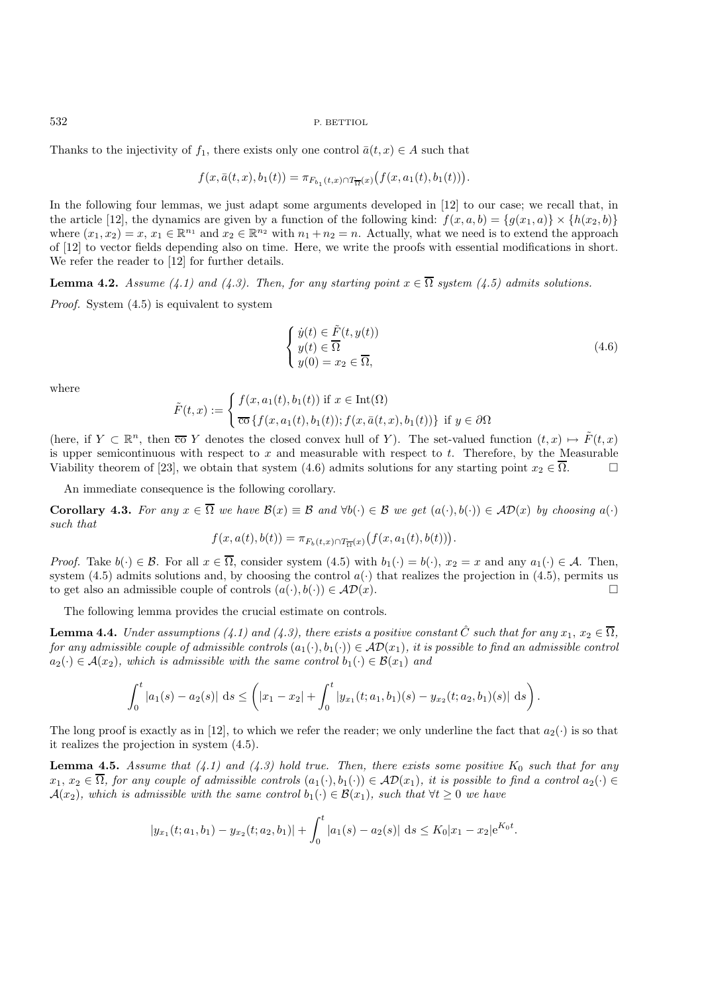Thanks to the injectivity of  $f_1$ , there exists only one control  $\bar{a}(t, x) \in A$  such that

$$
f(x,\bar{a}(t,x),b_1(t)) = \pi_{F_{b_1}(t,x)\cap T_{\overline{\Omega}}(x)}(f(x,a_1(t),b_1(t))).
$$

In the following four lemmas, we just adapt some arguments developed in [12] to our case; we recall that, in the article [12], the dynamics are given by a function of the following kind:  $f(x, a, b) = \{g(x_1, a)\}\times \{h(x_2, b)\}\$ where  $(x_1, x_2) = x$ ,  $x_1 \in \mathbb{R}^{n_1}$  and  $x_2 \in \mathbb{R}^{n_2}$  with  $n_1 + n_2 = n$ . Actually, what we need is to extend the approach of [12] to vector fields depending also on time. Here, we write the proofs with essential modifications in short. We refer the reader to [12] for further details.

**Lemma 4.2.** *Assume (4.1) and (4.3). Then, for any starting point*  $x \in \overline{\Omega}$  *system (4.5) admits solutions.* 

*Proof.* System (4.5) is equivalent to system

$$
\begin{cases}\n\dot{y}(t) \in \tilde{F}(t, y(t)) \\
y(t) \in \overline{\Omega} \\
y(0) = x_2 \in \overline{\Omega},\n\end{cases} \tag{4.6}
$$

where

$$
\tilde{F}(t,x) := \begin{cases}\n f(x, a_1(t), b_1(t)) \text{ if } x \in \text{Int}(\Omega) \\
 \overline{\text{co}}\left\{f(x, a_1(t), b_1(t)); f(x, \bar{a}(t, x), b_1(t))\right\} \text{ if } y \in \partial\Omega\n \end{cases}
$$

(here, if  $Y \subset \mathbb{R}^n$ , then  $\overline{co} Y$  denotes the closed convex hull of Y). The set-valued function  $(t, x) \mapsto \tilde{F}(t, x)$ is upper semicontinuous with respect to x and measurable with respect to t. Therefore, by the Measurable Viability theorem of [23], we obtain that system (4.6) admits solutions for any starting point  $x_2 \in \overline{\Omega}$ .

An immediate consequence is the following corollary.

**Corollary 4.3.** *For any*  $x \in \overline{\Omega}$  *we have*  $\mathcal{B}(x) \equiv \mathcal{B}$  *and*  $\forall b(\cdot) \in \mathcal{B}$  *we get*  $(a(\cdot), b(\cdot)) \in \mathcal{AD}(x)$  *by choosing*  $a(\cdot)$ *such that*

$$
f(x, a(t), b(t)) = \pi_{F_b(t,x) \cap T_{\overline{\Omega}}(x)}(f(x, a_1(t), b(t))).
$$

*Proof.* Take  $b(\cdot) \in \mathcal{B}$ . For all  $x \in \overline{\Omega}$ , consider system (4.5) with  $b_1(\cdot) = b(\cdot)$ ,  $x_2 = x$  and any  $a_1(\cdot) \in \mathcal{A}$ . Then, system (4.5) admits solutions and, by choosing the control  $a(\cdot)$  that realizes the projection in (4.5), permits us to get also an admissible couple of controls  $(a(\cdot), b(\cdot)) \in \mathcal{AD}(x)$ .

The following lemma provides the crucial estimate on controls.

**Lemma 4.4.** *Under assumptions (4.1) and (4.3), there exists a positive constant*  $\hat{C}$  *such that for any*  $x_1, x_2 \in \overline{\Omega}$ *, for any admissible couple of admissible controls*  $(a_1(\cdot), b_1(\cdot)) \in AD(x_1)$ *, it is possible to find an admissible control*  $a_2(\cdot) \in \mathcal{A}(x_2)$ , which is admissible with the same control  $b_1(\cdot) \in \mathcal{B}(x_1)$  and

$$
\int_0^t |a_1(s) - a_2(s)| \, ds \leq \left( |x_1 - x_2| + \int_0^t |y_{x_1}(t; a_1, b_1)(s) - y_{x_2}(t; a_2, b_1)(s)| \, ds \right).
$$

The long proof is exactly as in [12], to which we refer the reader; we only underline the fact that  $a_2(\cdot)$  is so that it realizes the projection in system (4.5).

**Lemma 4.5.** *Assume that (4.1) and (4.3) hold true. Then, there exists some positive*  $K_0$  *such that for any*  $x_1, x_2 \in \overline{\Omega}$ , for any couple of admissible controls  $(a_1(\cdot), b_1(\cdot)) \in \mathcal{AD}(x_1)$ , it is possible to find a control  $a_2(\cdot) \in$  $\mathcal{A}(x_2)$ *, which is admissible with the same control*  $b_1(\cdot) \in \mathcal{B}(x_1)$ *, such that*  $\forall t \geq 0$  *we have* 

$$
|y_{x_1}(t; a_1, b_1) - y_{x_2}(t; a_2, b_1)| + \int_0^t |a_1(s) - a_2(s)| \, ds \le K_0 |x_1 - x_2| e^{K_0 t}.
$$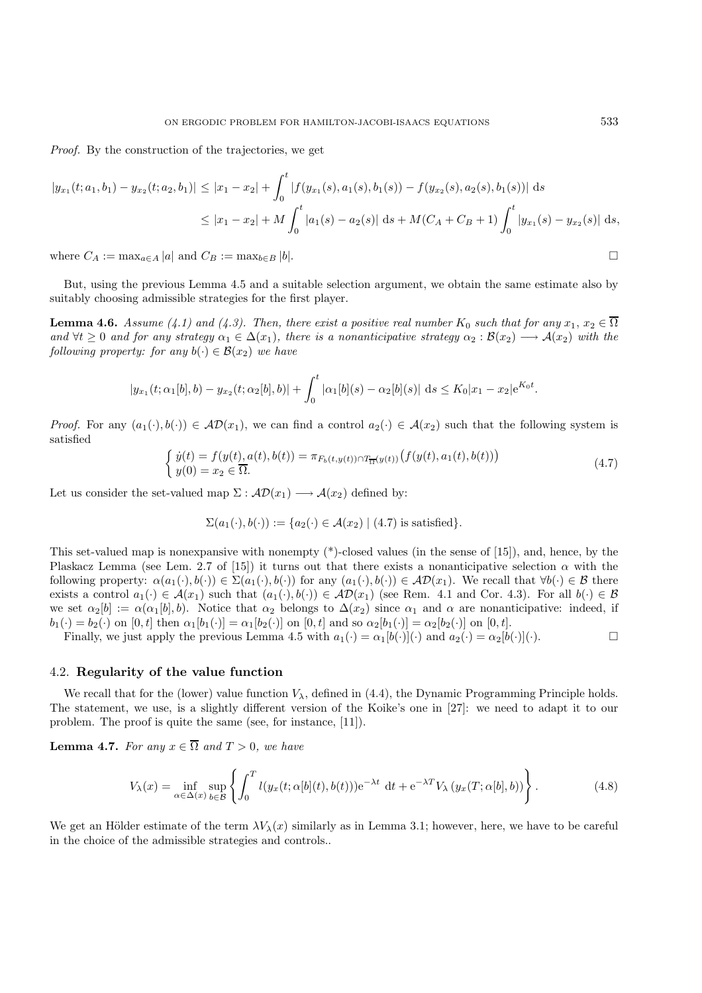*Proof.* By the construction of the trajectories, we get

$$
|y_{x_1}(t; a_1, b_1) - y_{x_2}(t; a_2, b_1)| \le |x_1 - x_2| + \int_0^t |f(y_{x_1}(s), a_1(s), b_1(s)) - f(y_{x_2}(s), a_2(s), b_1(s))| ds
$$
  

$$
\le |x_1 - x_2| + M \int_0^t |a_1(s) - a_2(s)| ds + M(C_A + C_B + 1) \int_0^t |y_{x_1}(s) - y_{x_2}(s)| ds,
$$

where  $C_A := \max_{a \in A} |a|$  and  $C_B := \max_{b \in B} |b|$ .

But, using the previous Lemma 4.5 and a suitable selection argument, we obtain the same estimate also by suitably choosing admissible strategies for the first player.

**Lemma 4.6.** *Assume* (4.1) and (4.3). Then, there exist a positive real number  $K_0$  such that for any  $x_1, x_2 \in \overline{\Omega}$ and  $\forall t \geq 0$  and for any strategy  $\alpha_1 \in \Delta(x_1)$ , there is a nonanticipative strategy  $\alpha_2 : \mathcal{B}(x_2) \longrightarrow \mathcal{A}(x_2)$  with the *following property: for any*  $b(\cdot) \in \mathcal{B}(x_2)$  *we have* 

$$
|y_{x_1}(t;\alpha_1[b],b)-y_{x_2}(t;\alpha_2[b],b)|+\int_0^t|\alpha_1[b](s)-\alpha_2[b](s)|\,\mathrm{d} s\leq K_0|x_1-x_2|e^{K_0t}.
$$

*Proof.* For any  $(a_1(\cdot), b(\cdot)) \in \mathcal{AD}(x_1)$ , we can find a control  $a_2(\cdot) \in \mathcal{A}(x_2)$  such that the following system is satisfied

$$
\begin{cases}\n\dot{y}(t) = f(y(t), a(t), b(t)) = \pi_{F_b(t, y(t)) \cap T_{\overline{\Omega}}(y(t))} \big(f(y(t), a_1(t), b(t))\big) \\
y(0) = x_2 \in \overline{\Omega}.\n\end{cases} \tag{4.7}
$$

Let us consider the set-valued map  $\Sigma : \mathcal{AD}(x_1) \longrightarrow \mathcal{A}(x_2)$  defined by:

$$
\Sigma(a_1(\cdot), b(\cdot)) := \{a_2(\cdot) \in \mathcal{A}(x_2) \mid (4.7)
$$
 is satisfied\}

This set-valued map is nonexpansive with nonempty (\*)-closed values (in the sense of [15]), and, hence, by the Plaskacz Lemma (see Lem. 2.7 of [15]) it turns out that there exists a nonanticipative selection  $\alpha$  with the following property:  $\alpha(a_1(\cdot), b(\cdot)) \in \Sigma(a_1(\cdot), b(\cdot))$  for any  $(a_1(\cdot), b(\cdot)) \in \mathcal{AD}(x_1)$ . We recall that  $\forall b(\cdot) \in \mathcal{B}$  there exists a control  $a_1(\cdot) \in \mathcal{A}(x_1)$  such that  $(a_1(\cdot), b(\cdot)) \in \mathcal{AD}(x_1)$  (see Rem. 4.1 and Cor. 4.3). For all  $b(\cdot) \in \mathcal{B}$ we set  $\alpha_2[b] := \alpha(\alpha_1[b], b)$ . Notice that  $\alpha_2$  belongs to  $\Delta(x_2)$  since  $\alpha_1$  and  $\alpha$  are nonanticipative: indeed, if  $b_1(\cdot) = b_2(\cdot)$  on  $[0, t]$  then  $\alpha_1[b_1(\cdot)] = \alpha_1[b_2(\cdot)]$  on  $[0, t]$  and so  $\alpha_2[b_1(\cdot)] = \alpha_2[b_2(\cdot)]$  on  $[0, t]$ .

Finally, we just apply the previous Lemma 4.5 with  $a_1(\cdot) = \alpha_1[b(\cdot)](\cdot)$  and  $a_2(\cdot) = \alpha_2[b(\cdot)](\cdot)$ .

#### 4.2. **Regularity of the value function**

We recall that for the (lower) value function  $V_{\lambda}$ , defined in (4.4), the Dynamic Programming Principle holds. The statement, we use, is a slightly different version of the Koike's one in [27]: we need to adapt it to our problem. The proof is quite the same (see, for instance, [11]).

**Lemma 4.7.** *For any*  $x \in \overline{\Omega}$  *and*  $T > 0$ *, we have* 

$$
V_{\lambda}(x) = \inf_{\alpha \in \Delta(x)} \sup_{b \in \mathcal{B}} \left\{ \int_0^T l(y_x(t; \alpha[b](t), b(t))) e^{-\lambda t} dt + e^{-\lambda T} V_{\lambda}(y_x(T; \alpha[b], b)) \right\}.
$$
 (4.8)

We get an Hölder estimate of the term  $\lambda V_{\lambda}(x)$  similarly as in Lemma 3.1; however, here, we have to be careful in the choice of the admissible strategies and controls..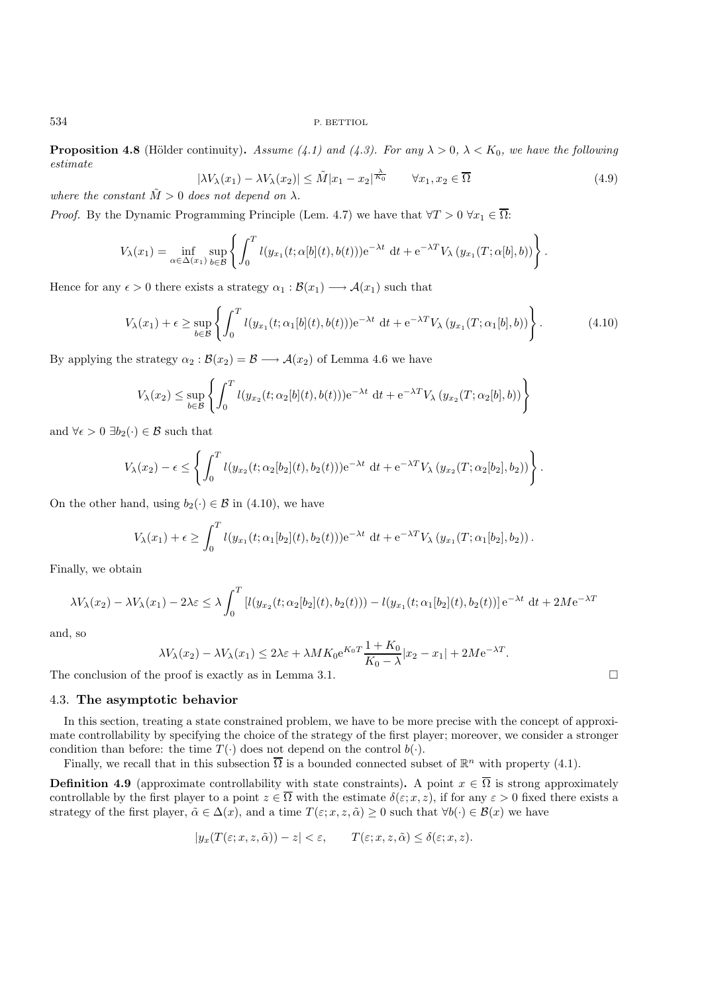**Proposition 4.8** (Hölder continuity). *Assume* (4.1) and (4.3). For any  $\lambda > 0$ ,  $\lambda < K_0$ , we have the following *estimate*

$$
|\lambda V_{\lambda}(x_1) - \lambda V_{\lambda}(x_2)| \leq \tilde{M}|x_1 - x_2|^{\frac{\lambda}{K_0}} \qquad \forall x_1, x_2 \in \overline{\Omega}
$$
\n(4.9)

*where the constant*  $\tilde{M} > 0$  *does not depend on*  $\lambda$ *.* 

*Proof.* By the Dynamic Programming Principle (Lem. 4.7) we have that  $\forall T > 0$   $\forall x_1 \in \overline{\Omega}$ :

$$
V_{\lambda}(x_1) = \inf_{\alpha \in \Delta(x_1)} \sup_{b \in \mathcal{B}} \left\{ \int_0^T l(y_{x_1}(t; \alpha[b](t), b(t))) e^{-\lambda t} dt + e^{-\lambda T} V_{\lambda}(y_{x_1}(T; \alpha[b], b)) \right\}.
$$

Hence for any  $\epsilon > 0$  there exists a strategy  $\alpha_1 : \mathcal{B}(x_1) \longrightarrow \mathcal{A}(x_1)$  such that

$$
V_{\lambda}(x_1) + \epsilon \ge \sup_{b \in \mathcal{B}} \left\{ \int_0^T l(y_{x_1}(t; \alpha_1[b](t), b(t))) e^{-\lambda t} dt + e^{-\lambda T} V_{\lambda}(y_{x_1}(T; \alpha_1[b], b)) \right\}.
$$
 (4.10)

By applying the strategy  $\alpha_2 : \mathcal{B}(x_2) = \mathcal{B} \longrightarrow \mathcal{A}(x_2)$  of Lemma 4.6 we have

$$
V_{\lambda}(x_2) \le \sup_{b \in \mathcal{B}} \left\{ \int_0^T l(y_{x_2}(t; \alpha_2[b](t), b(t))) e^{-\lambda t} dt + e^{-\lambda T} V_{\lambda}(y_{x_2}(T; \alpha_2[b], b)) \right\}
$$

and  $\forall \epsilon > 0 \exists b_2(\cdot) \in \mathcal{B}$  such that

$$
V_{\lambda}(x_2) - \epsilon \leq \left\{ \int_0^T l(y_{x_2}(t; \alpha_2[b_2](t), b_2(t))) e^{-\lambda t} dt + e^{-\lambda T} V_{\lambda} (y_{x_2}(T; \alpha_2[b_2], b_2)) \right\}.
$$

On the other hand, using  $b_2(\cdot) \in \mathcal{B}$  in (4.10), we have

$$
V_{\lambda}(x_1) + \epsilon \ge \int_0^T l(y_{x_1}(t; \alpha_1[b_2](t), b_2(t))) e^{-\lambda t} dt + e^{-\lambda T} V_{\lambda} (y_{x_1}(T; \alpha_1[b_2], b_2)).
$$

Finally, we obtain

$$
\lambda V_{\lambda}(x_2) - \lambda V_{\lambda}(x_1) - 2\lambda \varepsilon \leq \lambda \int_0^T \left[ l(y_{x_2}(t; \alpha_2[b_2](t), b_2(t))) - l(y_{x_1}(t; \alpha_1[b_2](t), b_2(t))] \right] e^{-\lambda t} dt + 2M e^{-\lambda T}
$$

and, so

$$
\lambda V_{\lambda}(x_2) - \lambda V_{\lambda}(x_1) \le 2\lambda \varepsilon + \lambda M K_0 e^{K_0 T} \frac{1 + K_0}{K_0 - \lambda} |x_2 - x_1| + 2M e^{-\lambda T}.
$$

The conclusion of the proof is exactly as in Lemma 3.1.  $\Box$ 

#### 4.3. **The asymptotic behavior**

In this section, treating a state constrained problem, we have to be more precise with the concept of approximate controllability by specifying the choice of the strategy of the first player; moreover, we consider a stronger condition than before: the time  $T(\cdot)$  does not depend on the control  $b(\cdot)$ .

Finally, we recall that in this subsection  $\overline{\Omega}$  is a bounded connected subset of  $\mathbb{R}^n$  with property (4.1).

**Definition 4.9** (approximate controllability with state constraints). A point  $x \in \overline{\Omega}$  is strong approximately controllable by the first player to a point  $z \in \overline{\Omega}$  with the estimate  $\delta(\varepsilon; x, z)$ , if for any  $\varepsilon > 0$  fixed there exists a strategy of the first player,  $\tilde{\alpha} \in \Delta(x)$ , and a time  $T(\varepsilon; x, z, \tilde{\alpha}) \geq 0$  such that  $\forall b(\cdot) \in \mathcal{B}(x)$  we have

$$
|y_x(T(\varepsilon; x, z, \tilde{\alpha})) - z| < \varepsilon, \qquad T(\varepsilon; x, z, \tilde{\alpha}) \leq \delta(\varepsilon; x, z).
$$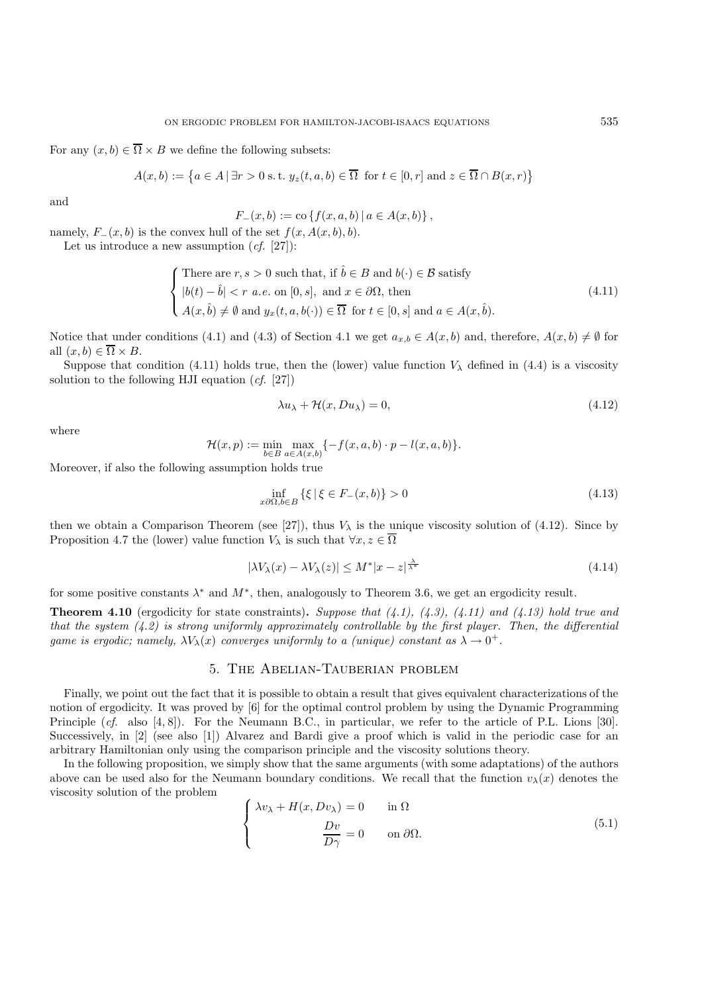For any  $(x, b) \in \overline{\Omega} \times B$  we define the following subsets:

$$
A(x, b) := \{ a \in A \mid \exists r > 0 \text{ s.t. } y_z(t, a, b) \in \overline{\Omega} \text{ for } t \in [0, r] \text{ and } z \in \overline{\Omega} \cap B(x, r) \}
$$

and

$$
F_{-}(x,b) := \text{co}\left\{f(x,a,b) \,|\, a \in A(x,b)\right\},\,
$$

namely,  $F_-(x, b)$  is the convex hull of the set  $f(x, A(x, b), b)$ .

Let us introduce a new assumption (*cf.* [27]):

$$
\begin{cases}\n\text{There are } r, s > 0 \text{ such that, if } \hat{b} \in B \text{ and } b(\cdot) \in \mathcal{B} \text{ satisfy} \\
|b(t) - \hat{b}| < r \ a.e. \text{ on } [0, s], \text{ and } x \in \partial\Omega, \text{ then} \\
A(x, \hat{b}) \neq \emptyset \text{ and } y_x(t, a, b(\cdot)) \in \overline{\Omega} \text{ for } t \in [0, s] \text{ and } a \in A(x, \hat{b}).\n\end{cases} \tag{4.11}
$$

Notice that under conditions (4.1) and (4.3) of Section 4.1 we get  $a_{x,b} \in A(x,b)$  and, therefore,  $A(x,b) \neq \emptyset$  for all  $(x, b) \in \overline{\Omega} \times B$ .

Suppose that condition (4.11) holds true, then the (lower) value function  $V_{\lambda}$  defined in (4.4) is a viscosity solution to the following HJI equation (*cf.* [27])

$$
\lambda u_{\lambda} + \mathcal{H}(x, Du_{\lambda}) = 0, \qquad (4.12)
$$

where

$$
\mathcal{H}(x,p) := \min_{b \in B} \max_{a \in A(x,b)} \{-f(x,a,b) \cdot p - l(x,a,b)\}.
$$

Moreover, if also the following assumption holds true

$$
\inf_{x \partial \Omega, b \in B} \left\{ \xi \mid \xi \in F_-(x, b) \right\} > 0 \tag{4.13}
$$

then we obtain a Comparison Theorem (see [27]), thus  $V_{\lambda}$  is the unique viscosity solution of (4.12). Since by Proposition 4.7 the (lower) value function  $V_\lambda$  is such that  $\forall x, z \in \overline{\Omega}$ 

$$
|\lambda V_{\lambda}(x) - \lambda V_{\lambda}(z)| \le M^* |x - z|^{\frac{\lambda}{\lambda^*}}
$$
\n(4.14)

for some positive constants  $\lambda^*$  and  $M^*$ , then, analogously to Theorem 3.6, we get an ergodicity result.

**Theorem 4.10** (ergodicity for state constraints)**.** *Suppose that (4.1), (4.3), (4.11) and (4.13) hold true and that the system (4.2) is strong uniformly approximately controllable by the first player. Then, the differential game is ergodic; namely,*  $\lambda V_{\lambda}(x)$  *converges uniformly to a (unique) constant as*  $\lambda \to 0^+$ .

## 5. The Abelian-Tauberian problem

Finally, we point out the fact that it is possible to obtain a result that gives equivalent characterizations of the notion of ergodicity. It was proved by [6] for the optimal control problem by using the Dynamic Programming Principle (*cf.* also [4, 8]). For the Neumann B.C., in particular, we refer to the article of P.L. Lions [30]. Successively, in [2] (see also [1]) Alvarez and Bardi give a proof which is valid in the periodic case for an arbitrary Hamiltonian only using the comparison principle and the viscosity solutions theory.

In the following proposition, we simply show that the same arguments (with some adaptations) of the authors above can be used also for the Neumann boundary conditions. We recall that the function  $v_{\lambda}(x)$  denotes the viscosity solution of the problem

$$
\begin{cases}\n\lambda v_{\lambda} + H(x, D v_{\lambda}) = 0 & \text{in } \Omega \\
\frac{D v}{D \gamma} = 0 & \text{on } \partial \Omega.\n\end{cases}
$$
\n(5.1)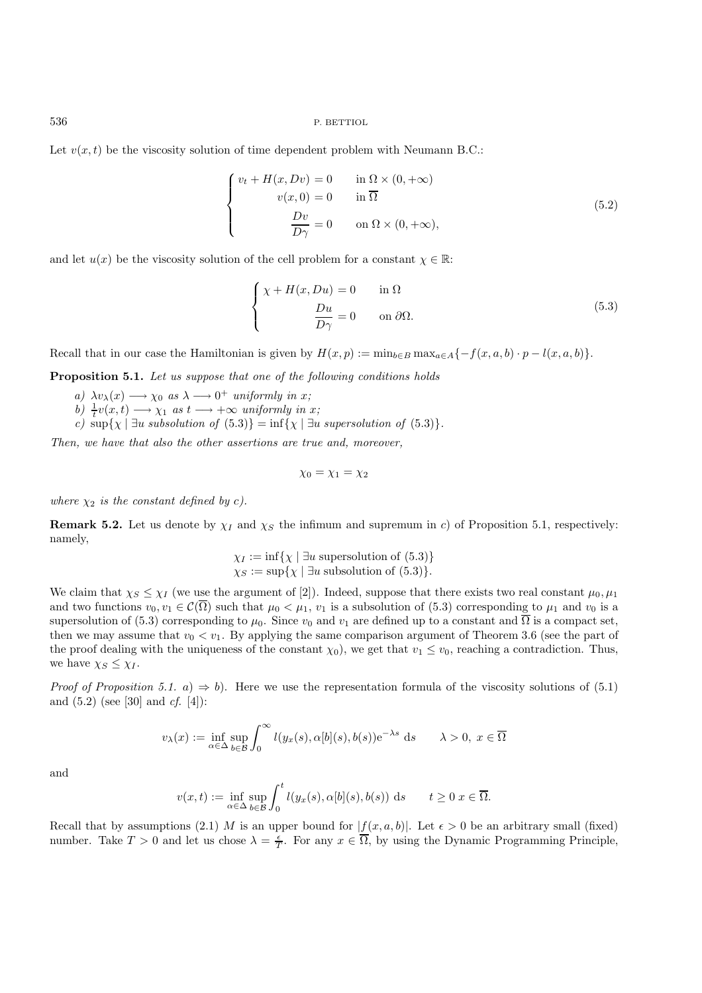Let  $v(x, t)$  be the viscosity solution of time dependent problem with Neumann B.C.:

$$
\begin{cases}\nv_t + H(x, Dv) = 0 & \text{in } \Omega \times (0, +\infty) \\
v(x, 0) = 0 & \text{in } \overline{\Omega} \\
\frac{Dv}{D\gamma} = 0 & \text{on } \Omega \times (0, +\infty),\n\end{cases}
$$
\n(5.2)

and let  $u(x)$  be the viscosity solution of the cell problem for a constant  $\chi \in \mathbb{R}$ :

$$
\begin{cases}\n\chi + H(x, Du) = 0 & \text{in } \Omega \\
\frac{Du}{D\gamma} = 0 & \text{on } \partial\Omega.\n\end{cases}
$$
\n(5.3)

Recall that in our case the Hamiltonian is given by  $H(x, p) := \min_{b \in B} \max_{a \in A} \{-f(x, a, b) \cdot p - l(x, a, b)\}.$ 

**Proposition 5.1.** *Let us suppose that one of the following conditions holds*

*a)*  $\lambda v_{\lambda}(x) \longrightarrow \chi_0$  *as*  $\lambda \longrightarrow 0^+$  *uniformly in x*;

*b*)  $\frac{1}{t}v(x,t) \longrightarrow \chi_1$  *as*  $t \longrightarrow +\infty$  *uniformly in* x;

*c)*  $\sup\{\chi \mid \exists u \text{ subsolution of } (5.3)\} = \inf\{\chi \mid \exists u \text{ supersolution of } (5.3)\}.$ 

*Then, we have that also the other assertions are true and, moreover,*

$$
\chi_0=\chi_1=\chi_2
$$

*where*  $\chi_2$  *is the constant defined by c).* 

**Remark 5.2.** Let us denote by  $\chi_I$  and  $\chi_S$  the infimum and supremum in c) of Proposition 5.1, respectively: namely,

$$
\chi_I := \inf \{ \chi \mid \exists u \text{ supersolution of (5.3)} \}
$$
  

$$
\chi_S := \sup \{ \chi \mid \exists u \text{ subsolution of (5.3)} \}.
$$

We claim that  $\chi_S \leq \chi_I$  (we use the argument of [2]). Indeed, suppose that there exists two real constant  $\mu_0, \mu_1$ and two functions  $v_0, v_1 \in \mathcal{C}(\overline{\Omega})$  such that  $\mu_0 < \mu_1, v_1$  is a subsolution of (5.3) corresponding to  $\mu_1$  and  $v_0$  is a supersolution of (5.3) corresponding to  $\mu_0$ . Since  $v_0$  and  $v_1$  are defined up to a constant and  $\overline{\Omega}$  is a compact set, then we may assume that  $v_0 < v_1$ . By applying the same comparison argument of Theorem 3.6 (see the part of the proof dealing with the uniqueness of the constant  $\chi_0$ ), we get that  $v_1 \le v_0$ , reaching a contradiction. Thus, we have  $\chi_S \leq \chi_I$ .

*Proof of Proposition 5.1.* a)  $\Rightarrow$  b). Here we use the representation formula of the viscosity solutions of (5.1) and (5.2) (see [30] and *cf.* [4]):

$$
v_{\lambda}(x) := \inf_{\alpha \in \Delta} \sup_{b \in \mathcal{B}} \int_0^{\infty} l(y_x(s), \alpha[b](s), b(s)) e^{-\lambda s} ds \qquad \lambda > 0, \ x \in \overline{\Omega}
$$

and

$$
v(x,t) := \inf_{\alpha \in \Delta} \sup_{b \in \mathcal{B}} \int_0^t l(y_x(s), \alpha[b](s), b(s)) \, ds \qquad t \ge 0 \, x \in \overline{\Omega}.
$$

Recall that by assumptions (2.1) M is an upper bound for  $|f(x, a, b)|$ . Let  $\epsilon > 0$  be an arbitrary small (fixed) number. Take  $T > 0$  and let us chose  $\lambda = \frac{\epsilon}{T}$ . For any  $x \in \overline{\Omega}$ , by using the Dynamic Programming Principle,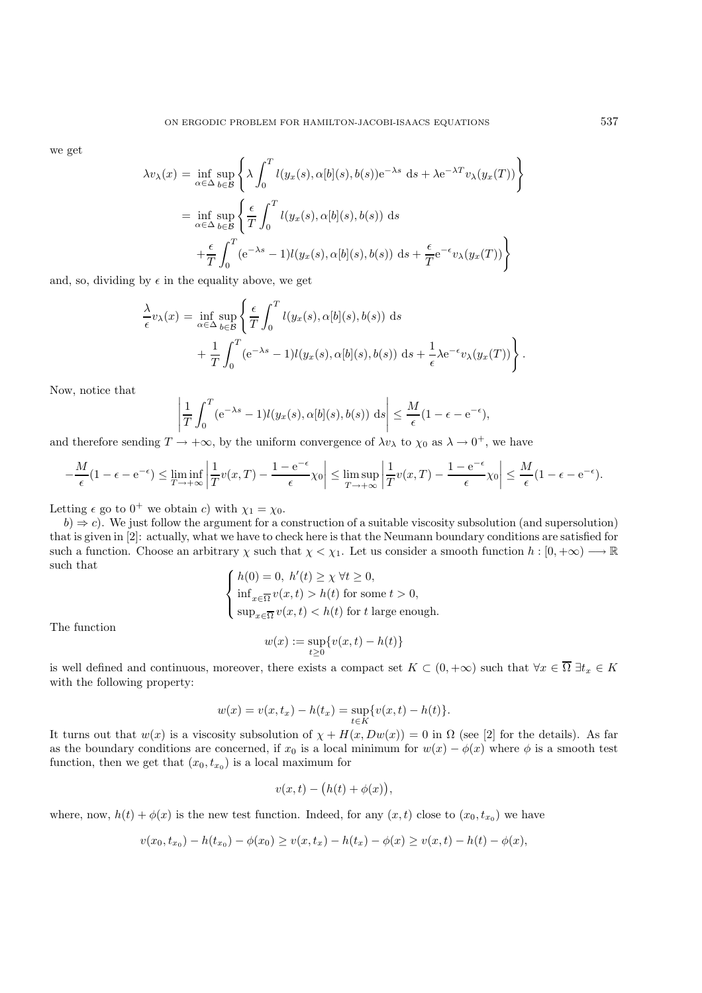we get

$$
\lambda v_{\lambda}(x) = \inf_{\alpha \in \Delta} \sup_{b \in \mathcal{B}} \left\{ \lambda \int_0^T l(y_x(s), \alpha[b](s), b(s)) e^{-\lambda s} ds + \lambda e^{-\lambda T} v_{\lambda}(y_x(T)) \right\}
$$
  

$$
= \inf_{\alpha \in \Delta} \sup_{b \in \mathcal{B}} \left\{ \frac{\epsilon}{T} \int_0^T l(y_x(s), \alpha[b](s), b(s)) ds + \frac{\epsilon}{T} e^{-\epsilon} v_{\lambda}(y_x(T)) \right\}
$$
  

$$
+ \frac{\epsilon}{T} \int_0^T (e^{-\lambda s} - 1) l(y_x(s), \alpha[b](s), b(s)) ds + \frac{\epsilon}{T} e^{-\epsilon} v_{\lambda}(y_x(T)) \right\}
$$

and, so, dividing by  $\epsilon$  in the equality above, we get

 $\overline{\phantom{a}}$  $\overline{\phantom{a}}$  $\overline{\phantom{a}}$  $\mathcal{L}$ 

$$
\frac{\lambda}{\epsilon}v_{\lambda}(x) = \inf_{\alpha \in \Delta} \sup_{b \in \mathcal{B}} \left\{ \frac{\epsilon}{T} \int_0^T l(y_x(s), \alpha[b](s), b(s)) \, ds + \frac{1}{T} \int_0^T (e^{-\lambda s} - 1) l(y_x(s), \alpha[b](s), b(s)) \, ds + \frac{1}{\epsilon} \lambda e^{-\epsilon} v_{\lambda}(y_x(T)) \right\}.
$$

Now, notice that

$$
\left|\frac{1}{T}\int_0^T (e^{-\lambda s}-1)l(y_x(s),\alpha[b](s),b(s))\ ds\right|\leq \frac{M}{\epsilon}(1-\epsilon-e^{-\epsilon}),
$$

and therefore sending  $T \to +\infty$ , by the uniform convergence of  $\lambda v_\lambda$  to  $\chi_0$  as  $\lambda \to 0^+$ , we have

$$
-\frac{M}{\epsilon}(1-\epsilon-e^{-\epsilon}) \le \liminf_{T \to +\infty} \left| \frac{1}{T}v(x,T) - \frac{1-e^{-\epsilon}}{\epsilon} \chi_0 \right| \le \limsup_{T \to +\infty} \left| \frac{1}{T}v(x,T) - \frac{1-e^{-\epsilon}}{\epsilon} \chi_0 \right| \le \frac{M}{\epsilon}(1-\epsilon-e^{-\epsilon}).
$$

Letting  $\epsilon$  go to  $0^+$  we obtain c) with  $\chi_1 = \chi_0$ .

 $b) \Rightarrow c$ . We just follow the argument for a construction of a suitable viscosity subsolution (and supersolution) that is given in [2]: actually, what we have to check here is that the Neumann boundary conditions are satisfied for such a function. Choose an arbitrary  $\chi$  such that  $\chi < \chi_1$ . Let us consider a smooth function  $h : [0, +\infty) \longrightarrow \mathbb{R}$ such that

$$
\begin{cases} h(0) = 0, \ h'(t) \ge \chi \ \forall t \ge 0, \\ \inf_{x \in \overline{\Omega}} v(x, t) > h(t) \text{ for some } t > 0, \\ \sup_{x \in \overline{\Omega}} v(x, t) < h(t) \text{ for } t \text{ large enough.} \end{cases}
$$

The function

$$
w(x) := \sup_{t \ge 0} \{v(x, t) - h(t)\}
$$

is well defined and continuous, moreover, there exists a compact set  $K \subset (0, +\infty)$  such that  $\forall x \in \overline{\Omega} \; \exists t_x \in K$ with the following property:

$$
w(x) = v(x, t_x) - h(t_x) = \sup_{t \in K} \{v(x, t) - h(t)\}.
$$

It turns out that  $w(x)$  is a viscosity subsolution of  $\chi + H(x, Dw(x)) = 0$  in  $\Omega$  (see [2] for the details). As far as the boundary conditions are concerned, if  $x_0$  is a local minimum for  $w(x) - \phi(x)$  where  $\phi$  is a smooth test function, then we get that  $(x_0, t_{x_0})$  is a local maximum for

$$
v(x,t) - (h(t) + \phi(x)),
$$

where, now,  $h(t) + \phi(x)$  is the new test function. Indeed, for any  $(x, t)$  close to  $(x_0, t_{x_0})$  we have

$$
v(x_0, t_{x_0}) - h(t_{x_0}) - \phi(x_0) \ge v(x, t_x) - h(t_x) - \phi(x) \ge v(x, t) - h(t) - \phi(x),
$$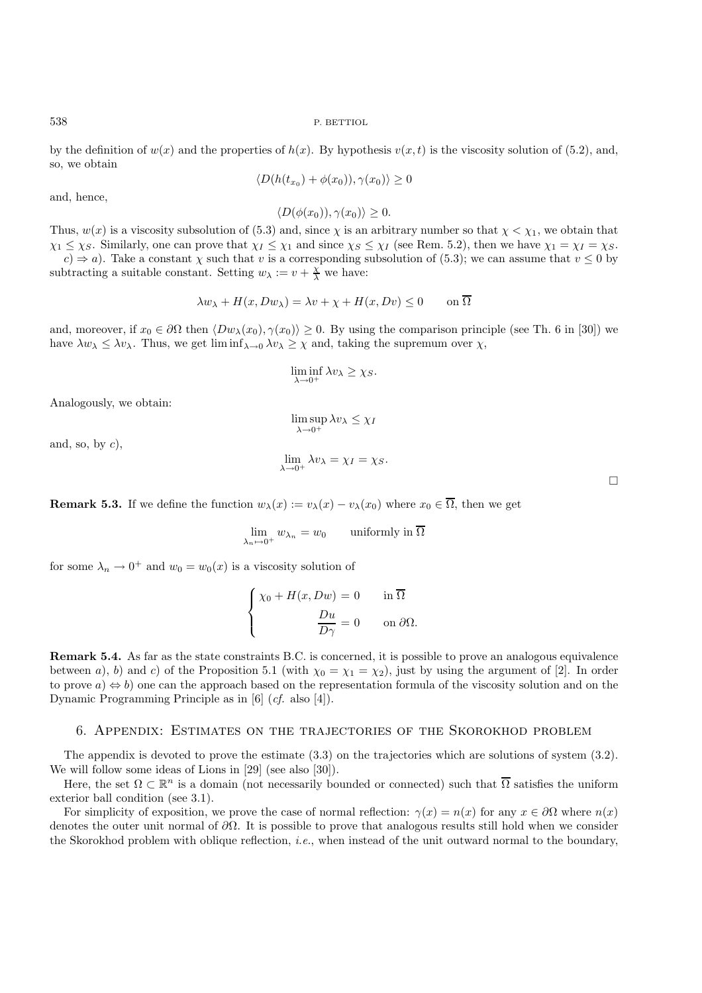by the definition of  $w(x)$  and the properties of  $h(x)$ . By hypothesis  $v(x, t)$  is the viscosity solution of (5.2), and, so, we obtain

$$
\langle D(h(t_{x_0}) + \phi(x_0)), \gamma(x_0) \rangle \ge 0
$$

and, hence,

 $\langle D(\phi(x_0)), \gamma(x_0) \rangle \geq 0.$ 

Thus,  $w(x)$  is a viscosity subsolution of (5.3) and, since  $\chi$  is an arbitrary number so that  $\chi < \chi_1$ , we obtain that  $\chi_1 \leq \chi_S$ . Similarly, one can prove that  $\chi_I \leq \chi_I$  and since  $\chi_S \leq \chi_I$  (see Rem. 5.2), then we have  $\chi_1 = \chi_I = \chi_S$ .  $c) \Rightarrow a$ ). Take a constant  $\chi$  such that v is a corresponding subsolution of (5.3); we can assume that  $v \le 0$  by subtracting a suitable constant. Setting  $w_{\lambda} := v + \frac{\chi}{\lambda}$  we have:

$$
\lambda w_{\lambda} + H(x, Dw_{\lambda}) = \lambda v + \chi + H(x, Dv) \le 0 \quad \text{on } \overline{\Omega}
$$

and, moreover, if  $x_0 \in \partial\Omega$  then  $\langle Dw_\lambda(x_0), \gamma(x_0) \rangle \geq 0$ . By using the comparison principle (see Th. 6 in [30]) we have  $\lambda w_{\lambda} \leq \lambda v_{\lambda}$ . Thus, we get  $\liminf_{\lambda \to 0} \lambda v_{\lambda} \geq \chi$  and, taking the supremum over  $\chi$ ,

$$
\liminf_{\lambda \to 0^+} \lambda v_{\lambda} \ge \chi_S.
$$

Analogously, we obtain:

$$
\limsup_{\lambda \to 0^+} \lambda v_{\lambda} \leq \chi_I
$$

and, so, by  $c$ ),

$$
\lim_{\lambda \to 0^+} \lambda v_{\lambda} = \chi_I = \chi_S.
$$

**Remark 5.3.** If we define the function  $w_\lambda(x) := v_\lambda(x) - v_\lambda(x_0)$  where  $x_0 \in \overline{\Omega}$ , then we get

$$
\lim_{\lambda_n \mapsto 0^+} w_{\lambda_n} = w_0 \qquad \text{uniformly in } \overline{\Omega}
$$

for some  $\lambda_n \to 0^+$  and  $w_0 = w_0(x)$  is a viscosity solution of

$$
\begin{cases}\n\chi_0 + H(x, Dw) = 0 & \text{in } \overline{\Omega} \\
\frac{Du}{D\gamma} = 0 & \text{on } \partial\Omega.\n\end{cases}
$$

**Remark 5.4.** As far as the state constraints B.C. is concerned, it is possible to prove an analogous equivalence between a), b) and c) of the Proposition 5.1 (with  $\chi_0 = \chi_1 = \chi_2$ ), just by using the argument of [2]. In order to prove  $a \nightharpoonup b$ ) one can the approach based on the representation formula of the viscosity solution and on the Dynamic Programming Principle as in [6] (*cf.* also [4]).

#### 6. Appendix: Estimates on the trajectories of the Skorokhod problem

The appendix is devoted to prove the estimate (3.3) on the trajectories which are solutions of system (3.2). We will follow some ideas of Lions in [29] (see also [30]).

Here, the set  $\Omega \subset \mathbb{R}^n$  is a domain (not necessarily bounded or connected) such that  $\overline{\Omega}$  satisfies the uniform exterior ball condition (see 3.1).

For simplicity of exposition, we prove the case of normal reflection:  $\gamma(x) = n(x)$  for any  $x \in \partial \Omega$  where  $n(x)$ denotes the outer unit normal of  $\partial\Omega$ . It is possible to prove that analogous results still hold when we consider the Skorokhod problem with oblique reflection, *i.e.*, when instead of the unit outward normal to the boundary,

 $\Box$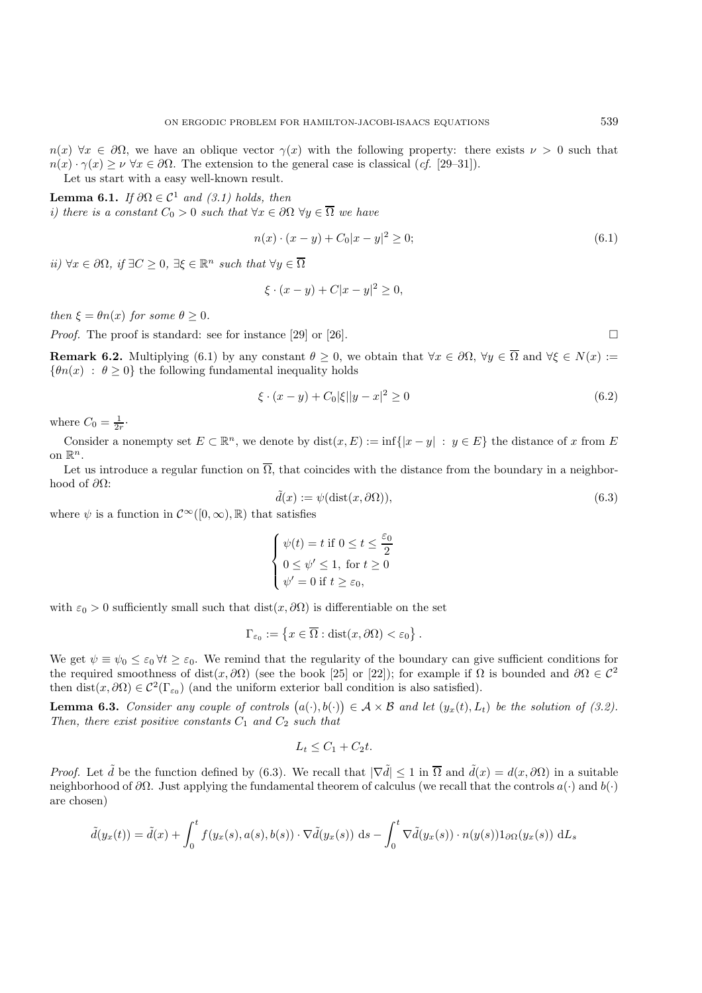$n(x) \forall x \in \partial\Omega$ , we have an oblique vector  $\gamma(x)$  with the following property: there exists  $\nu > 0$  such that  $n(x) \cdot \gamma(x) \ge \nu \,\forall x \in \partial\Omega$ . The extension to the general case is classical (*cf.* [29–31]). Let us start with a easy well-known result.

**Lemma 6.1.** *If*  $\partial\Omega \in C^1$  *and* (3.1) *holds, then i) there is a constant*  $C_0 > 0$  *such that*  $\forall x \in \partial \Omega$   $\forall y \in \overline{\Omega}$  *we have* 

$$
n(x) \cdot (x - y) + C_0 |x - y|^2 \ge 0; \tag{6.1}
$$

*ii*)  $\forall x \in \partial\Omega$ , *if* ∃*C* ≥ 0, ∃ $\xi \in \mathbb{R}^n$  *such that*  $\forall y \in \overline{\Omega}$ 

$$
\xi \cdot (x - y) + C|x - y|^2 \ge 0,
$$

*then*  $\xi = \theta n(x)$  *for some*  $\theta \geq 0$ *.* 

*Proof.* The proof is standard: see for instance [29] or [26].

**Remark 6.2.** Multiplying (6.1) by any constant  $\theta \ge 0$ , we obtain that  $\forall x \in \partial\Omega$ ,  $\forall y \in \overline{\Omega}$  and  $\forall \xi \in N(x) :=$  ${\lbrace \theta n(x) : \theta > 0 \rbrace}$  the following fundamental inequality holds

$$
\xi \cdot (x - y) + C_0 |\xi| |y - x|^2 \ge 0 \tag{6.2}
$$

where  $C_0 = \frac{1}{2r}$ .

Consider a nonempty set  $E \subset \mathbb{R}^n$ , we denote by  $dist(x, E) := \inf\{|x - y| : y \in E\}$  the distance of x from E on  $\mathbb{R}^n$ .

Let us introduce a regular function on  $\overline{\Omega}$ , that coincides with the distance from the boundary in a neighborhood of  $\partial Ω$ :

$$
\tilde{d}(x) := \psi(\text{dist}(x, \partial \Omega)),\tag{6.3}
$$

where  $\psi$  is a function in  $\mathcal{C}^{\infty}([0,\infty),\mathbb{R})$  that satisfies

$$
\begin{cases} \psi(t) = t \text{ if } 0 \leq t \leq \frac{\varepsilon_0}{2} \\ 0 \leq \psi' \leq 1, \text{ for } t \geq 0 \\ \psi' = 0 \text{ if } t \geq \varepsilon_0, \end{cases}
$$

with  $\varepsilon_0 > 0$  sufficiently small such that  $dist(x, \partial \Omega)$  is differentiable on the set

$$
\Gamma_{\varepsilon_0} := \left\{ x \in \overline{\Omega} : \text{dist}(x, \partial \Omega) < \varepsilon_0 \right\}.
$$

We get  $\psi \equiv \psi_0 \leq \varepsilon_0 \,\forall t \geq \varepsilon_0$ . We remind that the regularity of the boundary can give sufficient conditions for the required smoothness of dist(x,  $\partial\Omega$ ) (see the book [25] or [22]); for example if  $\Omega$  is bounded and  $\partial\Omega \in C^2$ then dist(x,  $\partial\Omega$ ) ∈  $\mathcal{C}^2(\Gamma_{\varepsilon_0})$  (and the uniform exterior ball condition is also satisfied).

**Lemma 6.3.** *Consider any couple of controls*  $(a(\cdot), b(\cdot)) \in A \times B$  *and let*  $(y_x(t), L_t)$  *be the solution of (3.2). Then, there exist positive constants*  $C_1$  *and*  $C_2$  *such that* 

$$
L_t \leq C_1 + C_2 t.
$$

*Proof.* Let  $\tilde{d}$  be the function defined by (6.3). We recall that  $|\nabla \tilde{d}| \leq 1$  in  $\overline{\Omega}$  and  $\tilde{d}(x) = d(x, \partial \Omega)$  in a suitable neighborhood of  $\partial\Omega$ . Just applying the fundamental theorem of calculus (we recall that the controls  $a(\cdot)$  and  $b(\cdot)$ are chosen)

$$
\tilde{d}(y_x(t)) = \tilde{d}(x) + \int_0^t f(y_x(s), a(s), b(s)) \cdot \nabla \tilde{d}(y_x(s)) ds - \int_0^t \nabla \tilde{d}(y_x(s)) \cdot n(y(s)) 1_{\partial \Omega}(y_x(s)) dL_s
$$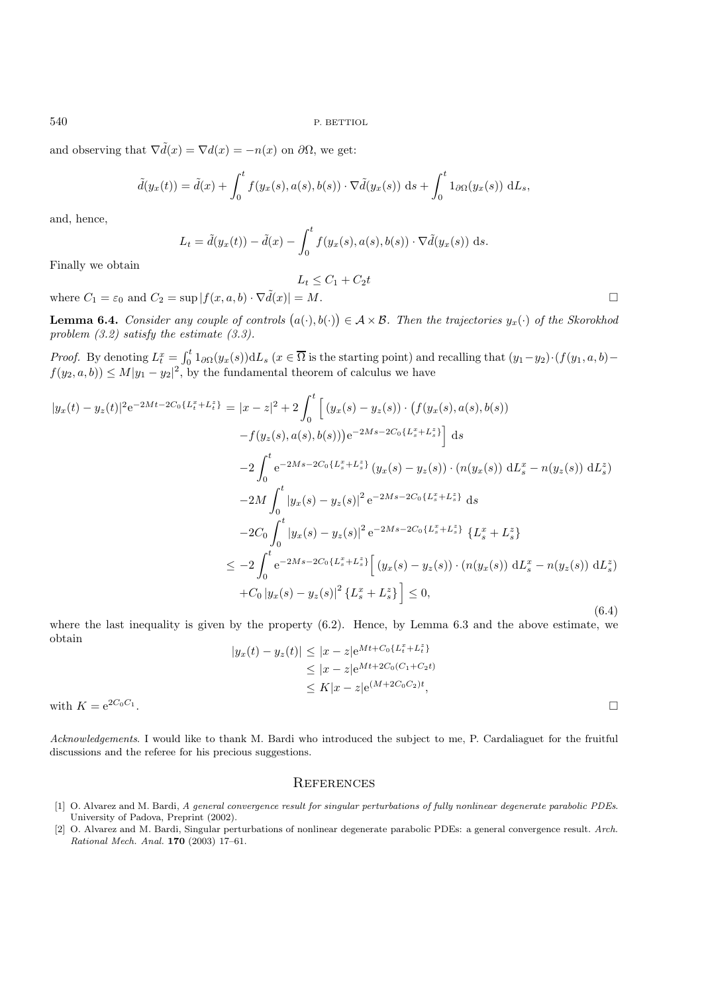and observing that  $\nabla \tilde{d}(x) = \nabla d(x) = -n(x)$  on  $\partial \Omega$ , we get:

$$
\tilde{d}(y_x(t)) = \tilde{d}(x) + \int_0^t f(y_x(s), a(s), b(s)) \cdot \nabla \tilde{d}(y_x(s)) \, ds + \int_0^t 1_{\partial \Omega}(y_x(s)) \, dL_s,
$$

and, hence,

$$
L_t = \tilde{d}(y_x(t)) - \tilde{d}(x) - \int_0^t f(y_x(s), a(s), b(s)) \cdot \nabla \tilde{d}(y_x(s)) ds.
$$

 $L_t \leq C_1 + C_2 t$ 

Finally we obtain

where  $C_1 = \varepsilon_0$  and  $C_2 = \sup |f(x, a, b) \cdot \nabla \tilde{d}(x)| = M$ .

**Lemma 6.4.** *Consider any couple of controls*  $(a(\cdot), b(\cdot)) \in A \times B$ *. Then the trajectories*  $y_x(\cdot)$  *of the Skorokhod problem (3.2) satisfy the estimate (3.3).*

*Proof.* By denoting  $L_t^x = \int_0^t 1_{\partial\Omega}(y_x(s)) dL_s$  ( $x \in \overline{\Omega}$  is the starting point) and recalling that  $(y_1-y_2) \cdot (f(y_1, a, b) - f(y_2))$  $f(y_2, a, b) \leq M |y_1 - y_2|^2$ , by the fundamental theorem of calculus we have

$$
|y_x(t) - y_z(t)|^2 e^{-2Mt - 2C_0\{L_t^x + L_t^z\}} = |x - z|^2 + 2 \int_0^t \left[ (y_x(s) - y_z(s)) \cdot (f(y_x(s), a(s), b(s))) - f(y_z(s), a(s), b(s))) e^{-2Ms - 2C_0\{L_s^x + L_s^z\}} \right] ds
$$
  

$$
-2 \int_0^t e^{-2Ms - 2C_0\{L_s^x + L_s^z\}} (y_x(s) - y_z(s)) \cdot (n(y_x(s)) dL_s^x - n(y_z(s)) dL_s^z)
$$
  

$$
-2M \int_0^t |y_x(s) - y_z(s)|^2 e^{-2Ms - 2C_0\{L_s^x + L_s^z\}} ds
$$
  

$$
-2C_0 \int_0^t |y_x(s) - y_z(s)|^2 e^{-2Ms - 2C_0\{L_s^x + L_s^z\}} \{L_s^x + L_s^z\}
$$
  

$$
\leq -2 \int_0^t e^{-2Ms - 2C_0\{L_s^x + L_s^z\}} \left[ (y_x(s) - y_z(s)) \cdot (n(y_x(s)) dL_s^x - n(y_z(s)) dL_s^z \right]
$$
  
+
$$
C_0 |y_x(s) - y_z(s)|^2 \{L_s^x + L_s^z\} \leq 0,
$$
  
(6.4)

where the last inequality is given by the property (6.2). Hence, by Lemma 6.3 and the above estimate, we obtain

$$
|y_x(t) - y_z(t)| \le |x - z| e^{Mt + C_0\{L_t^x + L_t^z\}}
$$
  
\n
$$
\le |x - z| e^{Mt + 2C_0(C_1 + C_2 t)}
$$
  
\n
$$
\le K |x - z| e^{(M + 2C_0 C_2)t},
$$
  
\nwith  $K = e^{2C_0 C_1}$ .

*Acknowledgements*. I would like to thank M. Bardi who introduced the subject to me, P. Cardaliaguet for the fruitful discussions and the referee for his precious suggestions.

#### **REFERENCES**

- [1] O. Alvarez and M. Bardi, A general convergence result for singular perturbations of fully nonlinear degenerate parabolic PDEs. University of Padova, Preprint (2002).
- [2] O. Alvarez and M. Bardi, Singular perturbations of nonlinear degenerate parabolic PDEs: a general convergence result. Arch. Rational Mech. Anal. **170** (2003) 17–61.